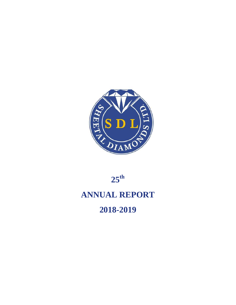



# **ANNUAL REPORT**

**2018-2019**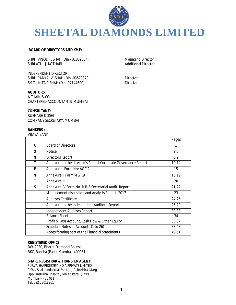

# **BOARD OF DIRECTORS AND KMP:**

SHRI VINOD T. SHAH (Din - 01859634) Managing Director SHRI ATUL J. KOTHARI Additional Director

INDEPENDENT DIRECTOR SHRI PANKAJ V. SHAH (Din -03579870) Director SMT NITA P SHAH (Din- 07144690) Director

# **AUDITORS:**

A.T.JAIN & CO. CHARTERED ACCOUNTANTS, MUMBAI

# **CONSULTANT:**

RUSHABH DOSHI COMPANY SECRETARY, MUMBAI

### **BANKERS :**

VIJAYA BANK,

|    |                                                                | Pages     |
|----|----------------------------------------------------------------|-----------|
| C. | <b>Board of Directors</b>                                      | 1         |
| 0  | <b>Notice</b>                                                  | $2 - 5$   |
| N  | <b>Directors Report</b>                                        | $6-9$     |
|    | Annexure to the director's Report Corporate Governance Report. | $10-14$   |
| E  | Annexure I Form No: AOC 2                                      | 15        |
| N  | Annexure II Form MGT.9                                         | $16-19$   |
|    | Annexure III                                                   | 20        |
| S  | Annexure IV Form No. MR-3 Secretarial Audit Report             | $21 - 22$ |
|    | Management discussion and Analysis Report-2017                 | 23        |
|    | <b>Auditors Certificate</b>                                    | 24-25     |
|    | Annexure to the Independent Auditors Report                    | $26 - 29$ |
|    | <b>Independent Auditors Report</b>                             | 30-33     |
|    | <b>Balance Sheet</b>                                           | 34        |
|    | Profit & Loss Account, Cash Flow & Other Equity                | $35-37$   |
|    | Schedule Notes of Accounts (1 to 26)                           | 38-48     |
|    | Notes forming part of the Financial Statements                 | 49-51     |

# **REGISTERED OFFICE:**

BW-2030, Bharat Diamond Bourse, BKC, Bandra (East), Mumbai- 400051

# **SHARE REGISTRAR & TRANSFER AGENT:**

PURVA SHAREGISTRY INDIA PRIVATE LIMITED 9,Shiv Shakti Industrial Estate, J.R Boricha Marg, Opp Kasturba Hospital, Lower Parel (East), Mumbai – 400 011 Tel: 022 23018261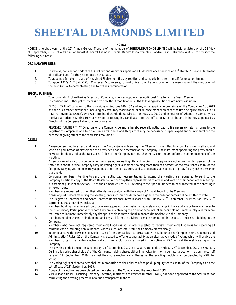

#### **NOTICE**

NOTICE is hereby given that the 25<sup>th</sup> Annual General Meeting of the members of <u>SHEETAL DIAMONDS LIMITED</u> will be held on Saturday, the 28<sup>th</sup> day of September, 2019 at 4.30 p.m. at Bw-2030, Bharat Diamond Bourse, Bandra Kurla Complex, Bandra (East), Mumbai- 400051 to transact the following business :

### **ORDINARY BUSINESS:**

- 1. To receive, consider and adopt the Directors' and Auditors' reports and Audited Balance Sheet as at 31<sup>st</sup> March, 2019 and Statement of Profit and Loss for the year ended on that date.
- 2. To appoint a Director in place of Mr. Vinod Shah who retires by rotation and being eligible offers himself for re-appointment.
- 3. To appoint M/s. A. T. Jain & Co., Chartered Accountants, to hold office from the conclusion of this meeting until the conclusion of the next Annual General Meeting and to fix their remuneration.

#### **SPECIAL BUSINESS:**

4. To appoint Mr. Atul Kothari as Director of Company, who was appointed as Additional Director at the Board Meeting.

To consider and, if thought fit, to pass with or without modification(s), the following resolution as ordinary Resolution:

"RESOLVED THAT pursuant to the provisions of Sections 149, 152 and any other applicable provisions of the Companies Act, 2013 and the rules made thereunder (including any statutory modification(s) or re-enactment thereof for the time being in force) Mr. Atul J. Kothari (DIN: 08455367), who was appointed as Additional Director on May 22, 2019 and in respect of whom the Company has received a notice in writing from a member proposing his candidature for the office of Director, be and is hereby appointed as Director of the Company liable to retire by rotation.

RESOLVED FURTHER THAT Directors of the Company, be and is hereby severally authorized to file necessary returns/forms to the Registrar of Companies and to do all such acts, deeds and things that may be necessary, proper, expedient or incidental for the purpose of giving effect to the aforesaid resolution."

#### **Notes :**

1. A member entitled to attend and vote at the Annual General Meeting (the "Meeting") is entitled to appoint a proxy to attend and vote on a poll instead of himself and the proxy need not be a member of the Company. The instrument appointing the proxy should, however, be deposited at the Registered Office of the Company not less than Forty-eight hours before the commencement of the Meeting.

A person can act as a proxy on behalf of members not exceeding fifty and holding in the aggregate not more than ten percent of the total share capital of the Company carrying voting rights. A member holding more than ten percent of the total share capital of the Company carrying voting rights may appoint a single person as proxy and such person shall not act as a proxy for any other person or shareholder.

- 2. Corporate members intending to send their authorized representatives to attend the Meeting are requested to send to the Company a certified copy of the Board Resolution authorizing their representative to attend and vote on their behalf at the meeting.
- 3. A Statement pursuant to Section 102 of the Companies Act, 2013, relating to the Special Business to be transacted at the Meeting is annexed hereto.
- 4. Members are requested to bring their attendance slip along with their copy of Annual Report to the Meeting.
- 5. In case of joint holders attending the Meeting, only such joint holder who is higher in the order of names will be entitled to vote.
- 6. The Register of Members and Share Transfer Books shall remain closed from Sunday,  $22^{nd}$  September, 2019 to Saturday,  $28^{th}$ September, 2019 both days inclusive.
- 7. Members holding shares in electronic form are requested to intimate immediately any change in their address or bank mandates to their Depository Participant with whom they are maintaining their demat accounts. Members holding shares in physical form are requested to intimate immediately any change in their address or bank mandates immediately to the Company.
- 8. Members holding shares in single name and physical form are advised to make nomination in respect of their shareholding in the Company.
- 9. Members who have not registered their e-mail address so far are requested to register their e-mail address for receiving all communication including Annual Report, Notices, Circulars, etc., from the Company electronically.
- 10. In compliance with provisions of Section 108 of the Companies Act, 2013 read with Rule 20 of the Companies (Management and Administration) Rules, 2014, the Company is pleased to offer e-voting facility as an alternative mode of voting which will enable the Members to cast their votes electronically on the resolutions mentioned in the notice of 25<sup>th</sup> Annual General Meeting of the Company.
- 11. The e-voting period begins on Wednesday, 25<sup>th</sup> September, 2019 at 9.00 a.m. and ends on Friday, 27<sup>th</sup> September, 2019 at 5.00 p.m. During this period shareholders' of the Company, holding shares either in physical form or in dematerialized form, as on the cut-off date of 21<sup>st</sup> September, 2019, may cast their vote electronically. Thereafter the e-voting module shall be disabled by NSDL for voting.
- 12. The voting rights of shareholders shall be in proportion to their shares of the paid up equity share capital of the Company as on the cut-off date of 21<sup>st</sup> September, 2019.
- 13. A copy of this notice has been placed on the website of the Company and the website of NSDL.
- 14. M/s Rushabh Doshi, Practicing Company Secretary (Certificate of Practice Number 11412) has been appointed as the Scrutinizer for conducting the e-voting process in a fair and transparent manner.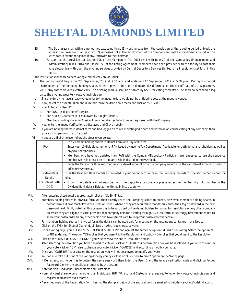

- 15. The Scrutinizer shall within a period not exceeding three (3) working days from the conclusion of the e-voting period unblock the votes in the presence of at least two (2) witnesses not in the employment of the Company and make a Scrutinizer's Report of the votes cast in favour or against, if any, forthwith to the Chairman.
- 16. Pursuant to the provisions of Section 108 of the Companies Act, 2013 read with Rule 20 of the Companies (Management and Administration) Rules, 2014 and Clause 35B of the Listing Agreement, Members have been provided with the facility to cast their vote electronically, through the e-voting services provided by Central Depository Services Limited, on all resolutions set forth in this notice.

The instructions for shareholders voting electronically are as under:

- I. The voting period begins on  $25^{th}$  September, 2019 at 9.00 a.m. and ends on  $27^{th}$  September, 2019 at 5.00 p.m. During this period shareholders of the Company, holding shares either in physical form or in dematerialized form, as on the cut-off date of 21<sup>st</sup> September, 2019. May cast their vote electronically. The e-voting module shall be disabled by NSDL for voting thereafter. The shareholders should log on to the e-voting website www.evotingindia.com.
- II. Shareholders who have already voted prior to the meeting date would not be entitled to vote at the meeting venue.
- III. Now, select the "Sheetal Diamonds Limited" form the drop down menu and click on "SUBMIT"
- IV. Now Enter your User ID
	- a. For CDSL: 16 digits beneficiary ID,
	- b. For NSDL: 8 Character DP ID followed by 8 Digits Client ID,
	- c. Members holding shares in Physical Form should enter Folio Number registered with the Company.
- V. Next enter the Image Verification as displayed and Click on Login.
- VI. If you are holding shares in demat form and had logged on to www.evotingindia.com and voted on an earlier voting of any company, then your existing password is to be used.
- VII. If you are a first time user follow the steps given below:

|                           | For Members holding shares in Demat Form and Physical Form                                                                                                                                 |
|---------------------------|--------------------------------------------------------------------------------------------------------------------------------------------------------------------------------------------|
| <b>PAN</b>                | Enter your 10 digit alpha-numeric *PAN issued by Income Tax Department (Applicable for both demat shareholders as well as<br>physical shareholders)                                        |
|                           | Members who have not updated their PAN with the Company/Depository Participant are requested to use the sequence<br>number which is printed on Attendance Slip indicated in the PAN field. |
| <b>DOB</b>                | Enter the Date of Birth as recorded in your demat account or in the company records for the said demat account or folio in                                                                 |
|                           | dd/mm/yyyy format.                                                                                                                                                                         |
| Dividend Bank             | Enter the Dividend Bank Details as recorded in your demat account or in the Company records for the said demat account or                                                                  |
| Details                   | folio.                                                                                                                                                                                     |
| OR Date of Birth<br>(DOB) | • If both the details are not recorded with the depository or company please enter the member id / folio number in the<br>Dividend Bank details field as mentioned in instruction (v).     |

- VIII. After entering these details appropriately, click on "SUBMIT" tab.
- IX. Members holding shares in physical form will then directly reach the Company selection screen. However, members holding shares in demat form will now reach 'Password Creation' menu wherein they are required to mandatorily enter their login password in the new password field. Kindly note that this password is to be also used by the demat holders for voting for resolutions of any other company on which they are eligible to vote, provided that company opts for e-voting through NSDL platform. It is strongly recommended not to share your password with any other person and take utmost care to keep your password confidential.
- X. For Members holding shares in physical form, the details can be used only for e-voting on the resolutions contained in this Notice.
- XI. Click on the EVSN for Sheetal Diamonds Limited on which you choose to vote.
- XII. On the voting page, you will see "RESOLUTION DESCRIPTION" and against the same the option "YES/NO" for voting. Select the option YES or NO as desired. The option YES implies that you assent to the Resolution and option NO implies that you dissent to the Resolution
- XIII. Click on the "RESOLUTIONS FILE LINK" if you wish to view the entire Resolution details.
- XIV. After selecting the resolution you have decided to vote on, click on "SUBMIT". A confirmation box will be displayed. If you wish to confirm your vote, click on "OK", else to change your vote, click on "CANCEL" and accordingly modify your vote.
- XV. Once you "CONFIRM" your vote on the resolution, you will not be allowed to modify your vote.
- XVI. You can also take out print of the voting done by you by clicking on "Click here to print" option on the Voting page.
- XVII. If Demat account holder has forgotten the same password then Enter the User ID and the image verification code and click on Forgot Password & enter the details as prompted by the system.
- XVIII. Note for Non Individual Shareholders and Custodians.
	- Non-Individual shareholders (i.e. other than Individuals, HUF, NRI etc.) and Custodian are required to log on to www.evotingindia.com and register themselves as Corporate.
	- A scanned copy of the Registration Form bearing the stamp and sign of the entity should be emailed to helpdesk.evoting@cdslindia.com.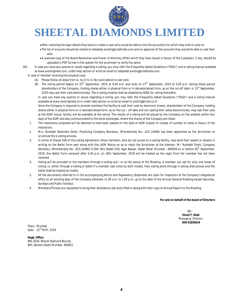

- After receiving the login details they have to create a user who would be able to link the account(s) for which they wish to vote on.
- The list of accounts should be mailed to helpdesk.evoting@nsdlindia.com and on approval of the accounts they would be able to cast their vote.
- A scanned copy of the Board Resolution and Power of Attorney (POA) which they have issued in favour of the Custodian, if any, should be uploaded in PDF format in the system for the scrutinizer to verify the same.
- XIX. In case you have any queries or issues regarding e-voting, you may refer the Frequently Asked Questions ("FAQs") and e-voting manual available at www.evotingindia.com, under help section or write an email to helpdesk.evoting@nsdlindia.com.
	- In case of member receiving the physical copy:
		- (A) Please follow all steps from sl. no.(i) to sl. No (xviii) above to cast vote.
		- (B) The voting period begins on 25<sup>th</sup> September, 2019 at 9.00 a.m. and ends on  $27<sup>th</sup>$  September, 2019 at 5.00 p.m. During these period shareholders of the Company, holding shares either in physical from or in dematerialized form, as on the cut-off date i.e. 21<sup>st</sup> September, 2019 may cast their vote electronically. The e-voting module shall be disabled by NSDL for voting thereafter.

In case you have any queries or issues regarding e-voting, you may refer the Frequently Asked Questions ("FAQs") and e-voting manual available at www.evotingindia.co.in under help section or write an email to evoting@nsdl.co.in.

Since the Company is required to provide members the facility to cast their vote by electronic means, shareholders of the Company, holding shares either in physical form or in dematerialized form, as on the cut – off date and not casting their votes electronically, may cast their vote at the AGM venue, facility will be available at the venue. The results of e-voting will be placed by the Company on the website within two days of the AGM and also communicated to the stock exchanges, where the shares of the Company are listed.

- 1. The resolutions proposed will be deemed to have been passed on the date of AGM subject to receipt of number of votes in favour of the resolutions.
- 2. M/s. Rushabh Narendra Doshi, Practicing Company Secretary, (Membership No.: ACS 24406) has been appointed as the Scrutinizer to scrutinize the e-voting process.
- 3. In terms of Clause 35B of the Listing Agreement, those members, who do not access to e-voting facility, may send their assent or dissent in writing on the Ballot Form sent along with this AGM Notice so as to reach the Scrutinizer at the Address- Mr. Rushabh Doshi, Company Secretary, (Membership No.: ACS 24406) C/304, Shiv Shakti CHS, Agar Bazaar, Dadar West, Mumbai - 400028 on or before 26<sup>th</sup> September, 2019. Any Ballot Form received after 4.30 p.m. on 26th September, 2019 will be treated as the reply from the member has not been received.
- 4. Voting will be provided to the members through e-voting and / or at the venue of the Meeting. A member can opt for only one mode of voting i.e. either through e-voting or ballot If a member cast votes by both modes, then voting done through e-voting shall prevail and the ballot shall be treated as invalid.
- 5. All the documents referred to in the accompanying Notice and Explanatory Statement are open for inspection at the Company's Registered office on all working days of the Company between 11.00 a.m. to 1.00 p.m. up to the date of the Annual General Meeting except Saturday, Sundays and Public holidays.
- 6. Members/Proxies are requested to bring their attendance slip dully filled in along with their copy of Annual Report to the Meeting.

#### **For and on behalf of the board of Directors**

Sd/- **Vinod T. Shah** Managing Director **DIN 01859634**

Place : Mumbai Date: 22<sup>nd</sup> MAY, 2019

**Regd. Office:** BW-2030, Bharat Diamond Bourse, BKC, Bandra (East),Mumbai- 400051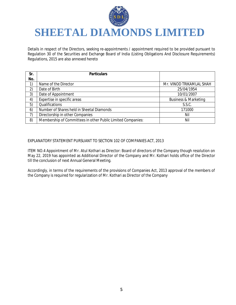

Details in respect of the Directors, seeking re-appointments / appointment required to be provided pursuant to Regulation 30 of the Securities and Exchange Board of India (Listing Obligations And Disclosure Requirements) Regulations, 2015 are also annexed hereto

| Sr. | <b>Particulars</b>                                          |                                 |
|-----|-------------------------------------------------------------|---------------------------------|
| No. |                                                             |                                 |
|     | Name of the Director                                        | Mr. VINOD TRIKAMLAL SHAH        |
| 2)  | Date of Birth                                               | 25/04/1954                      |
| 3)  | Date of Appointment                                         | 10/01/2007                      |
| 4)  | Expertise in specific areas                                 | <b>Business &amp; Marketing</b> |
| 5)  | Qualifications                                              | S.S.C.                          |
| 6)  | Number of Shares held in Sheetal Diamonds                   | 171000                          |
| 7)  | Directorship in other Companies                             | Nil                             |
| 8)  | Membership of Committees in other Public Limited Companies: | Nil                             |

EXPLANATORY STATEMENT PURSUANT TO SECTION 102 OF COMPANIES ACT, 2013

ITEM NO.4 Appointment of Mr. Atul Kothari as Director: Board of directors of the Company though resolution on May 22, 2019 has appointed as Additional Director of the Company and Mr. Kothari holds office of the Director till the conclusion of next Annual General Meeting.

Accordingly, in terms of the requirements of the provisions of Companies Act, 2013 approval of the members of the Company is required for regularization of Mr. Kothari as Director of the Company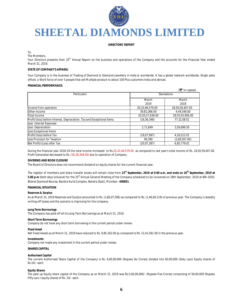

#### **DIRECTORS' REPORT**

To,

The Members,

Your Directors presents their 25<sup>th</sup> Annual Report on the business and operations of the Company and the accounts for the Financial Year ended March 31, 2019.

#### **STATE OF COMPANY'S AFFAIRS:**

Your Company is in the business of Trading of Diamond & Diamond Jewellery in India & worldwide. It has a global network worldwide, Single sales offices a Work force of over 5 people that sell Multiple product to about 100 Plus customers India and abroad.

#### **FINANCIAL PERFORMANCE:**

|                                                                        |                 | ( $\leftarrow$ in rupees) |
|------------------------------------------------------------------------|-----------------|---------------------------|
| <b>Particulars</b>                                                     |                 | Standalone                |
|                                                                        | March<br>2019   | March<br>2018             |
| Income from operation                                                  | 20,10,46,570.00 | 18,50,59,407.00           |
| Other Income                                                           | 39.81.066.00    | 4.44.549.00               |
| Total Income                                                           | 20,50,27,636.00 | 18,55,03,956.00           |
| Profit/(loss) before Interest, Depreciation, Tax and Exceptional Items | (16, 36, 348)   | 77,32,08.51               |
| Less Interest Expenses                                                 |                 |                           |
| Less Depreciation                                                      | 2.71.649        | 3.56.696.50               |
| Less Exceptional Items                                                 |                 |                           |
| Profit/(loss) before Tax                                               | (19,07,997)     | 4, 16, 512.01             |
| Less Provision for Taxation                                            | 99.390          | (2,69,267.00)             |
| Net Profit/(Loss) after Tax                                            | (20.07.387)     | 6.85.779.01               |

During the financial year 2018-19 the total income increased to Rs.20,10,46,570.00 as compared to last year's total income of Rs. 18,50,59,407.00. Profit Generated decreased to Rs. (16,36,348.00) due to operation of Company.

#### **DIVIDEND AND BOOK CLOSURE**

The Board of Directors does not recommend dividend on equity shares for the current financial year.

The register of members and share transfer books will remain close from 23<sup>rd</sup> September, 2019 at 9.00 a.m. and ends on 26<sup>th</sup> September, 2019 at 5.**00 p.m** (both days inclusive) for the 25<sup>th</sup> Annual General Meeting of the Company scheduled to be convened on 28th September, 2019 at BW-2030, Bharat Diamond Bourse, Bandra Kurla Complex, Bandra (East), Mumbai **- 400051**.

#### **FINANCIAL SITUATION**

#### **Reserves & Surplus**

As at March 31, 2019 Reserves and Surplus amounted to Rs. (1,66,07,506) as compared to Rs. (1,46,00,119) of previous year. The Company is steadily writing-off losses and the scenario is improving for the company.

#### **Long Term Borrowings**

The Company has paid-off all its Long Term Borrowings as at March 31, 2019.

#### **Short Term Borrowings**

Company do not have any short term borrowing in the current period under review.

#### **Fixed Asset**

Net Fixed Assets as at March 31, 2019 have reduced to Rs. 9,85,162.00 as compared to Rs. 12,41,561.00 in the previous year.

### **Investments**

Company not made any investment in the current period under review.

#### **SHARES CAPITAL**

#### **Authorised Capital**

The current Authorised Share Capital of the Company is Rs. 6,00,00,000 (Rupees Six Crores) divided into 60,00,000 (Sixty Lacs) Equity shares of Rs.10/- each.

#### **Equity Shares**

The paid up Equity share capital of the Company as on March 31, 2019 was Rs.5,00,00,000/- (Rupees Five Crores) comprising of 50,00,000 (Rupees Fifty Lacs ) equity shares of Rs. 10/- each.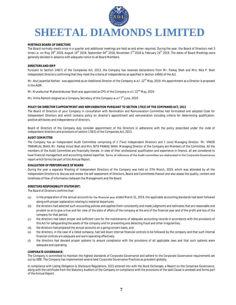

#### **MEETINGS BOARD OF DIRECTORS**

The Board normally meets once in a quarter and additional meetings are held as and when required. During the year, the Board of Directors met 5 times i.e. on May 29<sup>th</sup> 2018, August 14<sup>th</sup> 2018, September 04<sup>th</sup> 2018, November 2<sup>nd</sup> 2018 & February 14<sup>th</sup> 2019. The dates of Board Meetings were generally decided in advance with adequate notice to all Board Members.

#### **DIRECTORS AND KMP**

Pursuant to Section 149(7) of the Companies Act, 2013, the Company has received declarations from Mr. Pankaj Shah and Mrs. Nita P. Shah Independent Directors confirming that they meet the criteria of independence as specified in Section 149(6) of the Act.

Mr. Atul Jayantilal Kothari was appointed as an Additional Director of the Company w.e.f. 22<sup>nd</sup> May, 2019. His appointment as a Director is proposed in the AGM.

Mr. Krunalkumar Mahendrakumar Shah was appointed as CFO of the Company w.e.f. 22<sup>nd</sup> May, 2019.

Ms. Vinita Rathod resigned as a Company Secretary of the Company w.e.f 7<sup>th</sup> June, 2019.

#### **POLICY ON DIRECTOR'S APPOINTMENT AND REMUNERATION PURSUANT TO SECTION 178(3) OF THE COMPANIES ACT, 2013**

The Board of Directors of your Company in consultation with Nomination and Remuneration Committee had formulated and adopted Code for Independent Directors and which contains policy on director's appointment and remuneration including criteria for determining qualification, positive attributes and independence of directors.

Board of Directors of the Company duly consider appointment of the Directors in adherence with the policy prescribed under the code of independent directors and provisions of section 178(3) of the Companies Act, 2013.

#### **AUDIT COMMITTEE**

The Company has an Independent Audit Committee comprising of 2 (Two) Independent Directors and 1 (one) Managing Director. Mr. VINOD TRIKAMLAL SHAH, Mr. Pankaj Vinod Shah and Mrs. NITA PANKAJ SHAH, Managing Director of the Company are Members of the Committee. All the members of the Audit Committee are financially literate. In view of their professional qualification and experience in finance, all are considered to have financial management and accounting related expertise. Terms of reference of the Audit committee are elaborated in the Corporate Governance report which forms the part of this Annual Report.

#### **EVALUATION OF PERFORMANCE OF BOARD**

During the year a separate Meeting of Independent Directors of the Company was held on 27th March, 2019, which was attended by all the Independent Directors to discuss and review the self assessment of Directors, Board and Committees thereof and also assess the quality, content and timeliness of flow of information between the Management and the Board.

#### **DIRECTORS RESPONSIBILITY STATEMENT:**

The Board of Directors confirms that:

- (a) in the preparation of the annual accounts for the financial year ended March 31, 2019, the applicable accounting standards had been followed along with proper explanation relating to material departures;
- (b) the directors had selected such accounting policies and applied them consistently and made judgments and estimates that are reasonable and prudent so as to give a true and fair view of the state of affairs of the company at the end of the financial year and of the profit and loss of the company for that period;
- (c) the directors had taken proper and sufficient care for the maintenance of adequate accounting records in accordance with the provisions of this Act for safeguarding the assets of the company and for preventing and detecting fraud and other irregularities;
- (d) the directors had prepared the annual accounts on a going concern basis; and
- (e) the directors, in the case of a listed company, had laid down internal financial controls to be followed by the company and that such internal financial controls are adequate and were operating effectively.
- (f) the directors had devised proper systems to ensure compliance with the provisions of all applicable laws and that such systems were adequate and operating

#### **CORPORATE GOVERNANCE:**

The Company is committed to maintain the highest standards of Corporate Governance and adhere to the Corporate Governance requirements set out by SEBI. The Company has implemented several best Corporate Governance Practices as prevalent globally.

In compliance with Listing Obligation & Disclosure Regulations, 2015 entered into with the Stock Exchanges, a Report on the Corporate Governance, along with the certificate from the Statutory Auditors of the Company on compliance with the provisions of the said Clause is annexed and forms part of the Annual Report.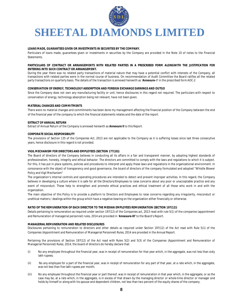

#### **LOANS MADE, GUARANTEES GIVEN OR INVESTMENTS IN SECURITIES BY THE COMPANY.**

Particulars of loans made, guarantees given or investments in securities by the Company are provided in the Note 10 of notes to the Financial Statements.

#### **PARTICULARS OF CONTRACT OR ARRANGEMENTS WITH RELATED PARTIES IN A PRESCRIBED FORM ALONGWITH THE JUSTIFICATION FOR ENTERING INTO SUCH CONTRACT OR ARRANGEMENT.**

During the year there was no related party transactions of material nature that may have a potential conflict with interests of the Company, all transactions with related parties were in the normal course of business. On recommendation of Audit Committee the Board ratifies all the related party transactions on quarterly basis. The details of the transaction is annexed herewith as '**Annexure- I**' in the prescribed form AOC-2

#### **CONSERVATION OF ENERGY, TECHNOLOGY ABSORPTION AND FOREIGN EXCHANGE EARNINGS AND OUTGO**

Since the Company does not own any manufacturing facility or unit, hence disclosures in this regard not required. The particulars with respect to conservation of energy, technology absorption being not relevant, have not been given.

#### **MATERIAL CHANGES AND COMMITMENTS**

There were no material changes and commitments has been done my management affecting the financial position of the Company between the end of the financial year of the company to which the financial statements relates and the date of the report.

#### **EXTRACT OF ANNUAL RETURN**

Extract of Annual Return of the Company is annexed herewith as **Annexure II** to this Report.

#### **CORPORATE SOCIAL RESPONSIBILITY**

The provisions of Section 135 of the Companies Act, 2013 are not applicable to the Company as it is suffering losses since last three consecutive years, hence disclosure in this regard is not provided.

#### **VIGIL MECHANISM FOR DIRECTORS AND EMPLOYEES (SECTION 177(10))**

The Board of directors of the Company believes in conducting all its affairs in a fair and transparent manner, by adopting highest standards of professionalism, honesty, integrity and ethical behavior. The directors are committed to comply with the laws and regulations to which it is subject. For this, it has put in place systems, policies and procedures to interpret and apply these laws and regulations in the organizational environment. In consonance with the object of transparency and good governance, the board of directors of the company formulated and adopted "Whistle Blower Policy and Vigil Mechanism"

The organization's internal controls and operating procedures are intended to detect and prevent improper activities. In this regard, the Company believes in developing a culture where it is safe for all the Directors/Employees to raise concerns about any poor or unacceptable practice and any event of misconduct. These help to strengthen and promote ethical practices and ethical treatment of all those who work in and with the organization.

The main objective of this Policy is to provide a platform to Directors and Employees to raise concerns regarding any irregularity, misconduct or unethical matters / dealings within the group which have a negative bearing on the organization either financially or otherwise.

#### **RATIO OF THE REMUNERATION OF EACH DIRECTOR TO THE MEDIAN EMPLOYEES REMUNERATION (SECTION 197(12))**

Details pertaining to remuneration as required under section 197(12) of the Companies act, 2013 read with rule 5(1) of the companies (appointment and Remuneration of managerial personnel) rules, 2014 are provided in '**Annexure-III'** to the Board's Report.

#### **MANAGERIAL REMUNERATION AND RELATED DISCLOSURES**

Disclosures pertaining to remuneration to directors and other details as required under Section 197(12) of the Act read with Rule 5(1) of the Companies (Appointment and Remuneration of Managerial Personnel) Rules, 2014 are provided in the Annual Report.

Pertaining the provisions of Section 197(12) of the Act read with Rules 5(2) and 5(3) of the Companies (Appointment and Remuneration of Managerial Personnel) Rules, 2014, the board of directors do hereby declare that:

- (i) No any employee throughout the financial year, was in receipt of remuneration for that year which, in the aggregate, was not less than sixty lakh rupees;
- *(ii)* No any employee for a part of the financial year, was in receipt of remuneration for any part of that year, at a rate which, in the aggregate, was not less than five lakh rupees per month;
- (iii) No any employee throughout the financial year or part thereof, was in receipt of remuneration in that year which, in the aggregate, or as the case may be, at a rate which, in the aggregate, is in excess of that drawn by the managing director or whole-time director or manager and holds by himself or along with his spouse and dependent children, not less than two percent of the equity shares of the company.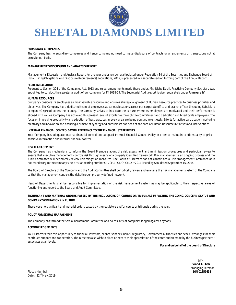

#### **SUBSIDIARY COMPANIES**

The Company has no subsidiary companies and hence company no need to make disclosure of contracts or arrangements or transactions not at arm's length basis.

#### **MANAGEMENT'S DISCUSSION AND ANALYSIS REPORT**

Management's Discussion and Analysis Report for the year under review, as stipulated under Regulation 34 of the Securities and Exchange Board of India (Listing Obligations And Disclosure Requirements) Regulations, 2015, is presented in a separate section forming part of the Annual Report.

#### **SECRETARIAL AUDIT**

Pursuant to Section 204 of the Companies Act, 2013 and rules, amendments made there under, Ms. Nisha Doshi, Practising Company Secretary was appointed to conduct the secretarial audit of our company for FY 2018-19. The Secretarial Audit report is given separately under **Annexure IV**.

#### **HUMAN RESOURCES**

Company considers its employees as most valuable resource and ensures strategic alignment of Human Resource practices to business priorities and objectives. The Company has a dedicated team of employees at various locations across our corporate office and branch offices (including Subsidiary companies) spread across the country. The Company strives to inculcate the culture where its employees are motivated and their performance is aligned with values. Company has achieved this present level of excellence through the commitment and dedication exhibited by its employees. The focus on improving productivity and adoption of best practices in every area are being pursued relentlessly. Efforts for active participation, nurturing creativity and innovation and ensuring a climate of synergy and enthusiasm has been at the core of Human Resource initiatives and interventions.

#### I**NTERNAL FINANCIAL CONTROLS WITH REFERENCE TO THE FINANCIAL STATEMENTS.**

Your Company has adequate internal financial control and adopted Internal Financial Control Policy in order to maintain confidentiality of price sensitive information and internal financial control.

#### **RISK MANAGEMENT**

The Company has mechanisms to inform the Board Members about the risk assessment and minimization procedures and periodical review to ensure that executive management controls risk through means of a properly identified framework. Risk management is an ongoing process and the Audit Committee will periodically review risk mitigation measures. The Board of Directors has not constituted a Risk Management Committee as is not mandatory to the company vide circular bearing number CIR/CFD/POLICY CELL/7/2014 issued by SEBI dated September 15, 2014.

The Board of Directors of the Company and the Audit Committee shall periodically review and evaluate the risk management system of the Company so that the management controls the risks through properly defined network.

Head of Departments shall be responsible for implementation of the risk management system as may be applicable to their respective areas of functioning and report to the Board and Audit Committee.

### **SIGNIFICANT AND MATERIAL ORDERS PASSED BY THE REGULATORS OR COURTS OR TRIBUNALS IMPACTING THE GOING CONCERN STATUS AND COMPANY'S OPERATIONS IN FUTURE**

There were no significant and material orders passed by the regulators and/or courts or tribunals during the year.

#### **POLICY FOR SEXUAL HARRASMENT**

The Company has formed the Sexual harassment Committee and no casualty or complaint lodged against anybody.

#### **ACKNOWLEDGEMENTS**

Your Directors take this opportunity to thank all investors, clients, vendors, banks, regulatory, Government authorities and Stock Exchanges for their continued support and cooperation. The Directors also wish to place on record their appreciation of the contribution made by the business partners / associates at all levels.

#### **For and on behalf of the board of Directors**

Sd/- **Vinod T. Shah** Managing Director<br>DIN 01859634

Place : Mumbai **DIN 01859634** Date : 22<sup>nd</sup> May, 2019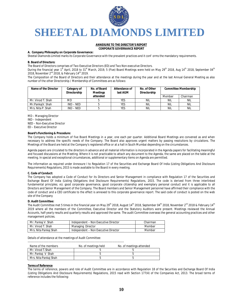

#### **ANNEXURE TO THE DIRECTOR'S REPORT CORPORATE GOVERNANCE REPORT**

#### **A. Company Philosophy on Corporate Governance:**

Sheetal Diamonds Limited marks its Corporate Governance with the prevalent practices and it conf orms the mandatory requirements.

#### **B. Board of Directors:**

The Board of Directors comprises of Two Executive Directors (ED) and Two Non-executive Directors.

During the financial year 1<sup>st</sup> April, 2018 to 31<sup>st</sup> March, 2019, 5 (Five) Board Meetings were held on May 29<sup>th</sup> 2018, Aug 14<sup>th</sup> 2018, September 04<sup>th</sup> 2018, November 2<sup>nd</sup> 2018, & February 14<sup>th</sup> 2019.

The Composition of the Board of Directors and their attendance at the meetings during the year and at the last Annual General Meeting as also number of the other Directorship / Membership of Committees are as follows:

| Name of the Director | Category of<br>Directorship | No. of Board<br><b>Meetings</b> | Attendance of<br>last AGM | No. of Other<br>Directorship |        | <b>Committee Membership</b> |
|----------------------|-----------------------------|---------------------------------|---------------------------|------------------------------|--------|-----------------------------|
|                      |                             | attended                        |                           |                              | Member | Chairman                    |
| Mr. Vinod T. Shah    | MD                          |                                 | YES                       | NIL                          | NIL    | <b>NIL</b>                  |
| Mr.PankaiV, Shah     | $IND - NED$                 |                                 | YES                       | NIL                          | NIL    | <b>NIL</b>                  |
| Mrs. Nita P. Shah    | $IND - NED$                 |                                 | YES                       | nil                          | NIL    | <b>NIL</b>                  |

MD – Managing Director IND – Independent NED – Non-Executive Director

ED – Executive Director

#### **Board's Functioning & Procedure:**

The Company holds a minimum of five Board Meetings in a year, one each per quarter. Additional Board Meetings are convened as and when necessary to address the specific needs of the Company. The Board also approves urgent matters by passing resolutions by circulations. The Meetings of the Board are held at the Company's registered office or at a hall in South Mumbai depending on the circumstances.

Agenda papers are circulated to the directors in advance and all material information is incorporated in the Agenda papers for facilitating meaningful and focused discussions at the Meeting. Where it is not practicable to attach any document to the Agenda, the same are placed on the table at the meeting. In special and exceptional circumstances, additional or supplementary items on Agenda are permitted.

The information as required under Annexure I to Regulation 17 of the Securities and Exchange Board Of India (Listing Obligations And Disclosure Requirements) Regulations, 2015 is made available to the Board in every meeting.

#### **C. Code of Conduct:**

The Company has adopted a Code of Conduct for its Directors and Senior Management in compliance with Regulation 17 of the Securities and Exchange Board Of India (Listing Obligations And Disclosure Requirements) Regulations, 2015. The code is derived from three interlinked fundamental principles; viz. good corporate governance, good corporate citizenship and exemplary personal conduct and it is applicable to all Directors and Senior Management of the Company. The Board members and Senior Management personnel have affirmed their compliance with the code of conduct and a CEO certificate to the effect is annexed to this corporate governance report. The said code of conduct is posted on the web site of the Company

#### **D. Audit Committee:**

The Audit Committee met 5 times in the financial year on May 29<sup>th</sup> 2018, August 14<sup>th</sup> 2018, September 04<sup>th</sup> 2018, November 2<sup>nd</sup> 2018 & February 14<sup>th</sup> 2019 where all the members of the Committee, Executive Director and the Statutory Auditors were present. Meetings reviewed the Annual Accounts, half-yearly results and quarterly results and approved the same. The audit Committee overseas the general accounting practices and other management policies.

| Mr. Pankai V. Shah    | Independent – Non Executive Director | Chairman |
|-----------------------|--------------------------------------|----------|
| Mr. Vinod T. Shah     | Managing Director                    | Member   |
| Mrs. Nita Pankaj Shah | Independent - Non Executive Director | Member   |

Details of attendance at the meetings of Audit Committee:

| Name of the members   | No. of meetings held | No. of meetings attended |
|-----------------------|----------------------|--------------------------|
| Mr. Vinod T.Shah      |                      |                          |
| Mr. Pankaj V Shah     |                      |                          |
| Mrs. Nita Pankaj Shah |                      |                          |

#### **Terms of Reference**

The terms of reference, powers and role of Audit Committee are in accordance with Regulation 18 of the Securities and Exchange Board Of India (Listing Obligations And Disclosure Requirements) Regulations, 2015 read with Section 177(4) of the Companies Act, 2013. The broad terms of reference includes the following: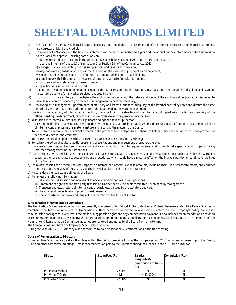

- a) Oversight of the Company's financial reporting process and the disclosure of its financial information to ensure that the financial statements are correct, sufficient and credible;
- b) To review with Management the financial statements at the end of a quarter, half year and the annual financial statements before submission to the Board for approval, focusing particularly on:
	- (i) matters required to be included in the Director's Responsibility Statement which form part of the Board's
	- reporting in terms of clause (c) of sub-section 3 of Section 134 of the Companies Act, 2013;;
	- (ii) changes, if any, in accounting policies and practices and reasons for the same;
	- (iii) major accounting entries involving estimates based on the exercise of judgment by management;
	- (iv) significant adjustments made in the financial statements arising out of audit findings;
	- (v) compliance with listing and other legal requirements relating to financial statements;
	- (vi) disclosure of any related party transactions; and
	- (vii) qualifications in the draft audit report
- c) to consider the appointment or re-appointment of the statutory auditors, the audit fee, any questions of resignation or dismissal and payment to statutory auditors for any other services rendered by them;
- d) to discuss with the statutory auditors before the audit commences, about the nature and scope of the audit as well as post-audit discussion to ascertain any area of concern (in absence of management, wherever necessary);
- e) reviewing with management, performance of statutory and internal auditors, adequacy of the internal control systems and discuss the same periodically with the statutory auditors, prior to the Board making its statement thereon;
- f) reviewing the adequacy of internal audit function, if any, including the structure of the internal audit department, staffing and seniority of the official heading the department, reporting structure coverage and frequency of internal audit;
- g) discussion with internal auditors on any significant findings and follow up thereon.
- h) reviewing the findings of any internal investigation by the internal auditors into matters where there is suspected fraud or irregularity or a failure of internal control systems of a material nature and reporting the matter to the Board;
- i) to look into the reasons for substantial defaults in the payment to the depositors, debenture holders, shareholders (in case of non-payment of declared dividends) and creditors;
- j) to review the functioning of the Whistle Blower Mechanism, in case the same is existing;
- k) to review the external auditors' audit reports and presentations and management's response thereto;
- l) to ensure co-ordination between the internal and external auditors, and to request internal audit to undertake specific audit projects, having informed management of their intentions;
- m) to consider any material breaches or exposure to breaches of regulatory requirements or of ethical codes of practice to which the Company subscribes, or of any related codes, policies and procedures, which could have a material effect on the financial position or contingent liabilities of the Company;
- n) to review policies and procedures with respect to directors' and officers' expense accounts, including their use of corporate assets, and consider the results of any review of these areas by the internal auditors or the external auditors;
- o) to consider other topics, as defined by the Board;
- p) to review the following information :
	- i) Management discussion and analysis of financial condition and results of operations;
	- ii) Statement of significant related party transactions (as defined by the audit committee), submitted by management;
	- iii) Management letter/letters of internal control weaknesses issued by the statutory auditors;
	- iv) Internal audit reports relating control weaknesses; and
	- v) The appointment, removal and terms of remuneration of the Internal Auditor.

#### **E. Nomination & Remuneration Committee**

The Nomination & Remuneration Committee presently comprises of Mr. Vinod T. Shah, Mr. Pankaj V Shah Chairman & Mrs. Nita Pankaj Shah as its members. The terms of reference of Nomination & Remuneration Committee involves determination on the Company's policy on specific remuneration packages for Executive Directors including pension rights and any compensation payment. It also includes recommendation on revision of remuneration of top executives below the Board of Directors, granting and administration of Employees Stock Options, etc. The minutes of the Nomination & Remuneration Committee meetings are reviewed and noted by the Board from time to time.

The Company does not have any Employee Stock Option Scheme.

During the year 2018-2019, Company was not required to hold Nomination &Remuneration Committee meeting.

#### **Details of Remuneration to Directors**

Non-executive Directors are paid a sitting fees within the ceiling prescribed under the Companies Act, 2013 for attending meetings of the Board, Audit and other committee meetings. Details of remuneration paid to the Directors during the Financial Year 2018-19 is as follows:

| <b>Director</b>   | Sitting Fees (Rs.) | Salaries,<br>Perquisites&<br><b>Contribution to funds</b><br>(Rs.) | <b>Commission (Rs.)</b> |
|-------------------|--------------------|--------------------------------------------------------------------|-------------------------|
| Mr. Pankaj V.Shah | $7.500/-$          | Nil                                                                | Nil                     |
| Mr. Vinod T.Shah  | Nil                | 4,80,000/-                                                         | Nil                     |
| Mrs. Nita P. Shah | $7.500/-$          | Nil                                                                | Nil                     |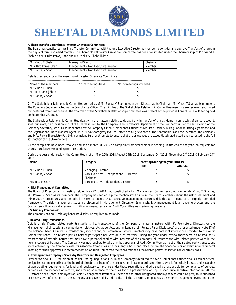

#### **F. Share Transfer Committee/Investor Grievance Committee:**

The Board has constituted the Share Transfer Committee, with the one Executive Director as member to consider and approve Transfers of shares in the physical form and allied matters. The Shareholder/Investor Grievance Committee has been constituted under the Chairmanship of Mr. Vinod T. Shah with Mrs. Nita Pankaj Shah and Mr. Pankaj V. Shah till date.

| Mr. Vinod T. Shah     | <b>Managing Director</b>             | Chairman |
|-----------------------|--------------------------------------|----------|
| Mrs. Nita Pankai Shah | Independent – Non Executive Director | Member   |
| Mr. Pankai V Shah     | Independent – Non Executive Director | Member   |

Details of attendance at the meetings of Investor Grievance Committee:

| Name of the members  | No. of meetings held | No. of meetings attended |
|----------------------|----------------------|--------------------------|
| Mr. Vinod T. Shah    |                      |                          |
| Mr. Nita Pankaj Shah |                      |                          |
| Mr. Pankaj V Shah    |                      |                          |

**G.** The Stakeholder Relationship Committee comprises of Mr. Pankaj V Shah Independent Director as its Chairman, Mr. Vinod T Shah as its members. The Company Secretary acted as the Compliance Officer. The minutes of the Stakeholder Relationship Committee meetings are reviewed and noted by the Board from time to time. The Chairman of the Stakeholder Relationship Committee was present at the previous Annual General Meeting held on September 28, 2018.

The Stakeholder Relationship Committee deals with the matters relating to delay, if any in transfer of shares, demat, non-receipt of annual account, split, duplicate, transmission etc. of the shares issued by the Company. The Secretarial Department of the Company, under the supervision of the Company Secretary, who is also nominated by the Company as the "Compliance Officer" as required under SEBI Regulations/ Listing Agreement, and the Registrar and Share Transfer Agent, M/s. Purva Sharegistry Pvt. Ltd., attend to all grievances of the Shareholders and the investors. The Company and M/s. Purva Sharegistry Pvt. Ltd, are making further attempts to ensure that the grievances are expeditiously addressed and redressed to the full satisfaction of the Stakeholders.

All the complaints have been resolved and as on March 31, 2019 no complaint from stakeholder is pending. At the end of the year, no requests for shares transfers were pending for registration.

During the year under review, the Committee met on May 29th, 2018 August 14th, 2018, September 04<sup>th</sup> 2018, November 2<sup>nd</sup>, 2018 & February 14<sup>th</sup> 2019.

| <b>Name</b>       | Category                                          | Meetings during the year 2018-19 |          |
|-------------------|---------------------------------------------------|----------------------------------|----------|
|                   |                                                   | Held                             | Attended |
| Mr. Vinod T. Shah | Managing Director                                 |                                  |          |
| Mr. Pankaj V Shah | Non-Executive Independent<br>Director<br>Chairman |                                  |          |
| Ms. Nita P. Shah  | Non-Executive Independent Director                |                                  |          |

#### **H. Risk Management Committee**

The Board of Directors at its meeting held on May 22<sup>nd</sup>, 2019 had constituted a Risk Management Committee comprising of Mr. Vinod T. Shah as, Mr. Pankaj V. Shah as its members. The Company has earlier in place mechanisms to inform the Board Members about the risk assessment and minimization procedures and periodical review to ensure that executive management controls risk through means of a properly identified framework. The risk management issues are discussed in Management Discussion & Analysis. Risk management is an ongoing process and the Committee will periodically review risk mitigation measures, earlier Audit Committee was reviewing the same.

#### **I. Subsidiary Companies:**

The Company has no Subsidiary hence no disclosure required to be made.

#### **J. Related Party Transactions:**

Details of significant related party transactions, i.e. transactions of the Company of material nature with it's Promoters, Directors or the Management, their subsidiary companies or relatives, etc. as per Accounting Standard 18 "Related Party Disclosures" are presented under Note 27 of the Balance Sheet. All material transaction (Financial and/or Commercial) where Directors may have potential interest are provided to the Audit Committee/Board. The related parties neither participate nor vote on such matters. During the year under review there were no related party transactions of material nature that may have a potential conflict with interests of the Company, all transactions with related parties were in the normal course of business. The Company was not required to take omnibus approval of Audit Committee, as most of the related party transactions were entered by the Company with its Associate Companies at arm's length basis and place before the Shareholders at every Annual General Meeting for their approval. On recommendation of Audit Committee the Board ratifies all the related party transactions on quarterly basis.

#### **K. Trading in the Company's Shares by Directors and Designated Employees**

Persuant to new SEBI (Prohibition of Insider Trading) Regulations, 2016, the Company is required to have a Compliance Officer who is a senior officer, designated so and reporting to the board of directors or head of the organization in case board is not there, who is financially literate and is capable of appreciating requirements for legal and regulatory compliance under these regulations and who shall be responsible for compliance of policies, procedures, maintenance of records, monitoring adherence to the rules for the preservation of unpublished price sensitive information.. All the Directors on the Board, employees at Senior Management levels at all locations and other designated employees who could be privy to unpublished price sensitive information of the Company are governed by this code. All the Directors, Employees at Senior Management levels and other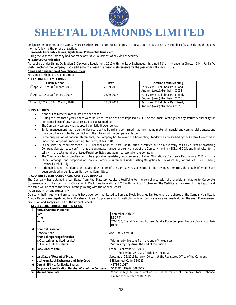

designated employees of the Company are restricted from entering into opposite transactions i.e. buy or sell any number of shares during the next 6 months following the prior transactions.

#### **L. Proceeds from Public Issues, Rights Issue, Preferential Issues, etc.**

During the year the Company had not made any issue / allotment of any kind of security.

#### **M. CEO/CFO Certification**

As required under Listing Obligation & Disclosure Regulations, 2015 with the Stock Exchanges, Mr. Vinod T Shah – Managing Director & Mr. Pankaj V. Shah Director of the Company, had certified to the Board the financial statements for the year ended March 31, 2019.

#### **Name and Designation of Compliance Officer**:

# Mr. Vinod T. Shah - Managing Director

|  |  |  |  | N. GENERAL BODY MEETINGS: |
|--|--|--|--|---------------------------|
|--|--|--|--|---------------------------|

| <b>Financial Year</b>                                       | Date       | <b>Location of the Meeting</b>     |
|-------------------------------------------------------------|------------|------------------------------------|
| $1st$ April, 2015 to 31 <sup>st</sup> March, 2016           | 28.09.2016 | Park View, 37 Lallubhai Park Road, |
|                                                             |            | Andheri (west), Mumbai- 400058     |
| 1 <sup>st</sup> April, 2016 to 31 <sup>st</sup> March, 2017 | 28.09.2017 | Park View, 37 Lallubhai Park Road, |
|                                                             |            | Andheri (west), Mumbai- 400058     |
| 1st April, 2017 to 31st March, 2018                         | 28.09.2018 | Park View, 37 Lallubhai Park Road, |
|                                                             |            | Andheri (west), Mumbai- 400058     |

#### **O. DISCLOSURES:**

- None of the Directors are related to each other.
- During the last three years, there were no strictures or penalties imposed by SEBI or the Stock Exchanges or any statutory authority for non-compliance of any matter related to capital markets.
- The Company currently has adopted a Whistle Blower policy.
- Senior management has made the disclosure to the Board and confirmed that they had no material financial and commercial transactions that could have a potential conflict with the interest of the Company at large.
- In the preparation of financial statements, the Company has followed the Accounting Standards as prescribed by the Central Government under the Companies (Accounting Standards) Rules, 2006.
- In line with the requirements of SEBI, Reconciliation of Share Capital Audit is carried out on a quarterly basis by a firm of practicing Company Secretaries to confirm that the aggregate number of equity shares of the Company held in NSDL and CDSL and in physical form, tally with the total number of issued/paid-up, listed and admitted capital of the Company.
- The Company is fully compliant with the applicable mandatory requirements of Listing Obligation & Disclosure Regulations, 2015 with the Stock Exchanges and adoptions of non mandatory requirements under Listing Obligation & Disclosure Regulations, 2015 are being reviewed periodically.
- Although it is not mandatory, the Board of Directors of the Company has constituted a Borrowing Committee, the details of which have been provided under Section 'Borrowing Committee.'

#### **P. AUDITOR'S CERTIFICATE ON CORPORATE GOVERNANCE**

The Company has obtained a certificate from the Statutory Auditors testifying to the compliance with the provisions relating to Corporate Governance laid out as per Listing Obligation & Disclosure Regulations, 2015 with the Stock Exchanges. The Certificate is annexed to this Report and the same will be sent to the Stock Exchanges along with the Annual Report.

#### **Q. MEANS OF COMMUNICATION:**

Quarterly, half – yearly and annual results have been communicated to Bombay Stock Exchange Limited where the shares of the Company's is listed. Annual Reports are dispatched to all the shareholders. No presentation to institutional investors or analysts was made during the year. Management discussion and Analysis is part of the Annual Report.

### **R. GENERAL SHAREHOLDER INFORMATION:**

| İI)   | <b>Annual General Meeting:</b>                       |                                                                              |
|-------|------------------------------------------------------|------------------------------------------------------------------------------|
|       | Date                                                 | September 28th, 2019                                                         |
|       | Time                                                 | 4.30 P M.                                                                    |
|       | Venue                                                | BW-2030, Bharat Diamond Bourse, Bandra Kurla Complex, Bandra (East), Mumbai- |
|       |                                                      | 400051                                                                       |
| (ii   | <b>Financial Calendar:</b>                           |                                                                              |
|       | <b>Financial Year</b>                                | April 1 to March 31                                                          |
|       | Financial reporting of results:                      |                                                                              |
|       | a. Quarterly unaudited results/                      | Within forty five days from the end of the quarter                           |
|       | b. Annual audited results                            | Within sixty days from the end of the quarter                                |
| liii) | <b>Book Closure date</b>                             | From: September 23, 2019                                                     |
|       |                                                      | : September 26, 2019 (both days inclusive)<br>To                             |
| iv)   | Last Date of Receipt of Proxy                        | September 26, 2019 before 4.00 p.m. at the Registered Office of the Company  |
| iv)   | Listing on Stock Exchanges and Scrip Code            | BSE Limited (Code: 530525)                                                   |
| V)    | Demat ISIN No. for Equity Shares                     | INE786J01017                                                                 |
|       | Corporate Identification Number (CIN) of the Company | L56912MH1994PLC083945                                                        |
| vi)   | Market price data                                    | Monthly high & low quotations of shares traded at Bombay Stock Exchange      |
|       |                                                      | Limited for the year 2018-2019:                                              |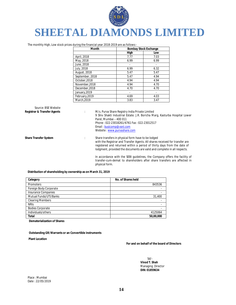

The monthly High, Low stock prices during the financial year 2018-2019 are as follows:-

| <b>Month</b>    | <b>Bombay Stock Exchange</b> |      |  |  |  |
|-----------------|------------------------------|------|--|--|--|
|                 | High                         | Low  |  |  |  |
| April, 2018     | 7.77                         | 7.03 |  |  |  |
| May, 2018       | 6.99                         | 6.99 |  |  |  |
| June, 2018      |                              |      |  |  |  |
| July, 2018      | 6.99                         | 6.32 |  |  |  |
| August, 2018    | 5.47                         | 5.47 |  |  |  |
| September, 2018 | 5.47                         | 4.94 |  |  |  |
| October.2018    | 4.94                         | 4.94 |  |  |  |
| November, 2018  | 4.94                         | 4.70 |  |  |  |
| December, 2018  | 4.70                         | 4.70 |  |  |  |
| January, 2019   |                              |      |  |  |  |
| February, 2019  | 4.69                         | 4.03 |  |  |  |
| March.2019      | 3.83                         | 3.47 |  |  |  |

Source: BSE Website<br>Registrar & Transfer Agents

**Registry India Private Limited :** M/s. Purva Share Registry India Private Limited 9 Shiv Shakti Industrial Estate. J.R. Boricha Marg, Kasturba Hospital Lower Parel, Mumbai – 400 011 Phone : 022-23018261/6761 Fax : 022-23012517 Email : busicomp@vsnl.com Website : *www.purvashare.com*

**Share Transfer System** : Share transfers in physical form have to be lodged with the Registrar and Transfer Agents. All shares received for transfer are registered and returned within a period of thirty days from the date of lodgment, provided the documents are valid and complete in all respects.

> In accordance with the SEBI guidelines, the Company offers the facility of transfer-cum-demat to shareholders after share transfers are affected in physical form.

### **Distribution of shareholding by ownership as on March 31, 2019**

| Category                   | No. of Shares held |
|----------------------------|--------------------|
| Promoters                  | 843536             |
| Foreign Body Corporate     |                    |
| <b>Insurance Companies</b> |                    |
| Mutual Funds/UTI/Banks     | 31,400             |
| <b>Clearing Members</b>    |                    |
| <b>NRIS</b>                |                    |
| <b>Bodies Corporate</b>    |                    |
| Individuals/others         | 4125064            |
| Total                      | 50,00,000          |

**Dematerialization of Shares**

**Outstanding GR/Warrants or an Convertible instruments**

**Plant Location**

### **For and on behalf of the board of Directors**

Sd/- **Vinod T. Shah**  Managing Director **DIN: 01859634**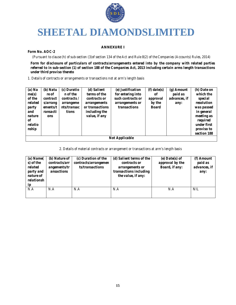

**ANNEXURE I**

# *Form No. AOC-2*

*(Pursuant to clause (h) of sub-section (3)of section 134 of the Act and Rule 8(2) of the Companies (Accounts) Rules, 2014)*

*Form for disclosure of particulars of contracts/arrangements entered into by the company with related parties referred to in sub-section (1) of section 188 of the Companies Act, 2013 including certain arms length transactions under third proviso thereto*

*1. Details of contracts or arrangements or transactions not at arm's length basis*

| $(a)$ Na<br>me(s)<br>of the<br>related<br>party<br>and<br>nature<br>0f<br>relatio<br>nship | (b) Natu<br>re of<br>contract<br>s/arrang<br>ements/t<br>ransacti<br>ons | (c) Duratio<br>n of the<br>contracts/<br>arrangeme<br>nts/transac<br>tions | (d) Salient<br>terms of the<br>contracts or<br><i>arrangements</i><br>or transactions<br>including the<br>value, if any | (e) Justification<br>for entering into<br>such contracts or<br>arrangements or<br>transactions | $(f)$ date(s)<br>οf<br>approval<br>by the<br><b>Board</b> | (g) Amount<br>paid as<br>advances, if<br>any: | (h) Date on<br>which the<br>special<br>resolution<br>was passed<br>in general<br>meeting as<br>required<br>under first<br>proviso to<br>section 188 |
|--------------------------------------------------------------------------------------------|--------------------------------------------------------------------------|----------------------------------------------------------------------------|-------------------------------------------------------------------------------------------------------------------------|------------------------------------------------------------------------------------------------|-----------------------------------------------------------|-----------------------------------------------|-----------------------------------------------------------------------------------------------------------------------------------------------------|
|                                                                                            |                                                                          |                                                                            |                                                                                                                         | <b>Not Applicable</b>                                                                          |                                                           |                                               |                                                                                                                                                     |

*2. Details of material contracts or arrangement or transactions at arm's length basis*

| (a) Name(<br>s) of the<br>related<br>party and<br>nature of<br>relationsh<br>ip | (b) Nature of<br>contracts/arr<br>angements/tr<br>ansactions | (c) Duration of the<br>contracts/arrangemen<br>ts/transactions | (d) Salient terms of the<br>contracts or<br>arrangements or<br>transactions including<br>the value, if any: | (e) $Date(s)$ of<br>approval by the<br>Board, if any: | (f) Amount<br>paid as<br>advances, if<br>any: |
|---------------------------------------------------------------------------------|--------------------------------------------------------------|----------------------------------------------------------------|-------------------------------------------------------------------------------------------------------------|-------------------------------------------------------|-----------------------------------------------|
| N.A                                                                             | N.A                                                          | N.A                                                            | N.A                                                                                                         | N.A                                                   | <b>NIL</b>                                    |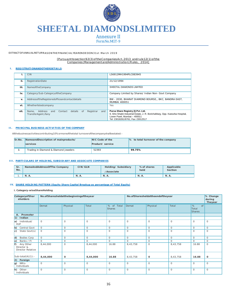

Annexure II FormNo.MGT-9

EXTRACTOFANNU ALRETURN ASON THE FINANCIAL YEAREN DE DON 31 st March 2019

*[Pursu anttosec tion92(3)o ftheCompaniesA c t, 2013 and rule12(1)o fthe Companies(Management andAdministration)Rules , 2014]*

#### **I. REGISTRATIONANDOTHERDETAILS**:

|      | CIN                                                                                                    | L56912MH1994PLC083945                                                                                                                                                                   |  |  |
|------|--------------------------------------------------------------------------------------------------------|-----------------------------------------------------------------------------------------------------------------------------------------------------------------------------------------|--|--|
| ii.  | RegistrationDate                                                                                       | 21/12/1994                                                                                                                                                                              |  |  |
| iii. | NameoftheCompany                                                                                       | SHEETAL DIAMONDS LIMITED                                                                                                                                                                |  |  |
| iv.  | Category/Sub-CategoryoftheCompany                                                                      | Company Limited by Shares/ Indian Non- Govt Company                                                                                                                                     |  |  |
| v.   | AddressoftheRegisteredofficeandcontactdetails                                                          | BW - 2030, BHARAT DIAMOND BOURSE., BKC, BANDRA EAST.<br>MUMBAI 400051                                                                                                                   |  |  |
| vi.  | Whetherlistedcompany                                                                                   | Yes                                                                                                                                                                                     |  |  |
| vii. | Registrar<br>and<br>Address<br>details<br><b>of</b><br>Contact<br>Name.<br>and<br>TransferAgent, ifany | Purva Share Registry (I) Pvt. Ltd.<br>9, Shiv Shakti Industrial Estate, J. R. BorichaMarg, Opp. Kasturba Hospital,<br>Lower Parel, Mumbai - 400011<br>Tel: 23018261/6761, Fax: 23012517 |  |  |

#### **II. PRINCIPAL BUSINESS ACTIVITIES OF THE COMPANY**

Allthebusinessactivitiescontributing10%ormoreofthetotal turnoverofthecompanyshallbestated:-

| Sr.No. | NameandDescription of mainproducts/<br><b>Services</b> | NIC Code of the<br>Product/ service | % to total turnover of the company |  |  |
|--------|--------------------------------------------------------|-------------------------------------|------------------------------------|--|--|
|        | Trading in Diamond & Diamond Jewelers                  | 52393                               | 99.75%                             |  |  |

#### **III. PARTICULARS OF HOLDING, SUBSIDIARY AND ASSOCIATE COMPANIES**

| Sr.<br>No. | NameAndAddressOfThe Company | CIN/GLN | Holding/Subsidiary<br>/Associate | % of shares<br>held | Applicable<br><b>Section</b> |
|------------|-----------------------------|---------|----------------------------------|---------------------|------------------------------|
|            | N. A.                       | N. A.   | <b>N.A.</b>                      | N.A.                | N. A.                        |

#### **IV. SHARE HOLDING PATTERN (Equity Share Capital Breakup as percentage of Total Equity)**

**i.** *Category-wiseShareHolding*

| CategoryofShar<br>eholders                          | No.ofSharesheldatthebeginningoftheyear |                |          | No.ofSharesheldattheendoftheyear |          |          |          | % Change<br>during<br>Theyear     |             |
|-----------------------------------------------------|----------------------------------------|----------------|----------|----------------------------------|----------|----------|----------|-----------------------------------|-------------|
|                                                     | Demat                                  | Physical       | Total    | % of Total<br><b>Shares</b>      | Demat    | Physical | Total    | %<br><b>of</b><br>Total<br>Shares |             |
| Promoter<br>A.                                      |                                        |                |          |                                  |          |          |          |                                   |             |
| $\left( 1\right)$<br><b>Indian</b>                  |                                        |                |          |                                  |          |          |          |                                   |             |
| Individual/<br> a)<br><b>HUF</b>                    | $\circ$                                | $\circ$        | $\circ$  | $\circ$                          | $\circ$  | $\circ$  | $\circ$  | $\circ$                           | $\circ$     |
| Central Govt<br>  <sub>b</sub>                      | $\circ$                                | $\circ$        | $\circ$  | $\circ$                          | $\Omega$ | $\circ$  | $\circ$  | $\circ$                           | $\circ$     |
| State Govt(s)<br> c)                                | $\circ$                                | $\circ$        | $\circ$  | $\circ$                          | $\Omega$ | $\circ$  | $\circ$  | $\Omega$                          | $\circ$     |
| d)<br>Bodies Corp                                   | $\circ$                                | $\circ$        | $\circ$  | $\circ$                          | $\circ$  | $\circ$  | $\circ$  | $\circ$                           | $\circ$     |
| $\vert e)$<br>Banks / FI                            | $\Omega$                               | $\circ$        | $\Omega$ | $\Omega$                         | $\Omega$ | $\circ$  | $\Omega$ | $\Omega$                          | $\circ$     |
| lf)<br>Any Other<br>Director &<br>Director Relative | 8,44,000                               | $\circ$        | 8,44,000 | 16.88                            | 8,43,758 | $\circ$  | 8,43,758 | 16.88                             | $\circ$     |
| $Sub-total(A)(1)$ :-                                | 8,44,000                               | $\mathsf{o}\,$ | 8,44,000 | 16.88                            | 8,43,758 | 0        | 8,43,758 | 16.88                             | $\mathbf 0$ |
| 2) Foreign                                          |                                        |                |          |                                  |          |          |          |                                   |             |
| NRIS-<br>$ g\rangle$<br>Individuals                 | 0                                      | $\circ$        | $\circ$  | $\circ$                          | $\Omega$ | $\circ$  | $\circ$  | $\Omega$                          | $\circ$     |
| h) Other-<br>Individuals                            | $\Omega$                               | $\Omega$       | $\Omega$ | $\Omega$                         | $\Omega$ | $\Omega$ | $\Omega$ | $\Omega$                          | $\circ$     |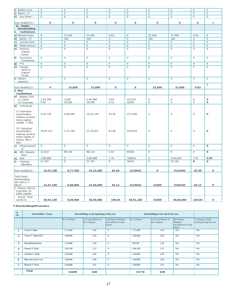| i)<br><b>Bodies Corp</b>                                                                        | $\circ$          | $\circ$         | $\circ$            | $\circ$        | $\overline{0}$  | $\overline{0}$             | $\overline{0}$     | $\overline{O}$     | $\overline{O}$             |
|-------------------------------------------------------------------------------------------------|------------------|-----------------|--------------------|----------------|-----------------|----------------------------|--------------------|--------------------|----------------------------|
|                                                                                                 |                  |                 |                    |                |                 |                            |                    |                    |                            |
| $j)$ Banks / FI                                                                                 | $\mathsf O$      | $\circ$         | $\circ$            | $\circ$        | $\circ$         | $\circ$                    | $\circ$            | $\circ$            | $\circ$                    |
| $\mathsf{k}$<br>Any Other                                                                       | $\circ$          | $\circ$         | $\circ$            | $\circ$        | $\circ$         | $\circ$                    | $\circ$            | $\circ$            | $\circ$                    |
| Sub-total $(A)(2)$ :-                                                                           | $\mathsf{o}$     | $\mathsf{o}\,$  | $\mathsf{o}$       | $\mathsf{o}$   | $\mathsf{o}\,$  | $\mathbf O$                | $\mathsf{o}\,$     | o                  | $\circ$                    |
| B. Public<br>Shareholding                                                                       |                  |                 |                    |                |                 |                            |                    |                    |                            |
| $\vert 1 \rangle$<br><b>Institutions</b>                                                        |                  |                 |                    |                |                 |                            |                    |                    |                            |
| a) Mutual Funds                                                                                 | $\circ$          | 31,400          | 31,400             | 0.63           | $\circ$         | 31,400                     | 31,400             | 0.63               | $\circ$                    |
| Banks / FI<br>  <sub>b</sub>                                                                    | $\circ$          | 200             | 200                | $\circ$        | $\circ$         | 200                        | 200                | $\circ$            | $\circ$                    |
| c)<br>Central Govt                                                                              | $\circ$          | $\circ$         | $\circ$            | $\mathsf O$    | $\circ$         | $\circ$                    | $\circ$            | $\circ$            | $\circ$                    |
|                                                                                                 |                  |                 |                    |                |                 |                            |                    |                    |                            |
| d)<br>State Govt(s)                                                                             | $\circ$          | $\circ$         | $\circ$            | $\circ$        | $\circ$         | $\circ$                    | $\circ$            | $\circ$            | $\circ$                    |
| $\vert e)$<br>Venture<br>Capital<br>Funds                                                       | $\overline{O}$   | $\circ$         | $\overline{0}$     | $\overline{0}$ | $\overline{0}$  | $\overline{0}$             | $\overline{0}$     | $\overline{0}$     | $\overline{0}$             |
| f)<br>Insurance<br>Companies                                                                    | $\mathsf O$      | $\circ$         | $\circ$            | $\circ$        | $\mathsf O$     | $\circ$                    | $\circ$            | $\circ$            | $\circ$                    |
| $ g\rangle$<br>FIIs                                                                             | $\mathsf O$      | $\circ$         | $\circ$            | $\circ$        | $\circ$         | $\circ$                    | $\circ$            | $\circ$            | $\circ$                    |
| h) Foreign<br>Venture<br>Capital<br>Funds                                                       | $\circ$          | $\circ$         | $\circ$            | $\circ$        | $\circ$         | $\circ$                    | $\circ$            | $\overline{0}$     | $\circ$                    |
| i) Others<br>(specify)                                                                          | $\circ$          | $\circ$         | $\circ$            | $\circ$        | $\circ$         | $\circ$                    | $\circ$            | $\circ$            | $\circ$                    |
| $Sub-total(B)(1)$                                                                               | $\mathsf{o}$     | 31,600          | 31,600             | $\mathsf{o}$   | $\mathsf{o}\,$  | 31,600                     | 31,600             | 0.63               | $\circ$                    |
| $2.$ Non<br>Institutions                                                                        |                  |                 |                    |                |                 |                            |                    |                    |                            |
| a) Bodies Corp.                                                                                 |                  |                 |                    |                |                 |                            |                    |                    |                            |
| (i) Indian<br>(ii) Overseas                                                                     | 2,63,368<br>0.00 | 1,600<br>26,500 | 2,64,968<br>26,500 | 5.84<br>0.53   | 421224<br>26500 | $\mathsf O$<br>$\mathsf O$ | $\circ$<br>$\circ$ | $\circ$<br>$\circ$ | $\mathbf 0$<br>$\mathbf 0$ |
| b)<br>Individuals                                                                               |                  |                 |                    |                |                 |                            |                    |                    |                            |
| (i) Individual<br>shareholders<br>holding nominal<br>share capital<br>uptoRs. 2 lakh            | 5,34,720         | 4,90,400        | 10,25,120          | 20.36          | 1311290         | $\circ$                    | $\circ$            | $\circ$            | $\mathsf{o}\xspace$        |
| (ii) Individual<br>shareholders<br>holding nominal<br>share capital in<br>excess ofRs 2<br>lakh | 19,97,327        | 2,72,700        | 22,70,027          | 45.96          | 2034101         | $\circ$                    | $\circ$            | $\circ$            | $\mathsf{o}\xspace$        |
| c) Others (Specif<br>y)                                                                         | $\circ$          | $\circ$         | $\circ$            | $\circ$        | $\circ$         | $\circ$                    | $\circ$            | $\circ$            | $\mathsf{o}\,$             |
| $\mathsf{d}$<br>NRI (Repat&<br>Non)                                                             | 10,010           | 86,100          | 96,110             | 2.02           | 90646           | $\circ$                    | $\circ$            | $\circ$            | $\circ$                    |
| $\vert e)$<br><b>HUF</b>                                                                        | 3,88,888         | $\circ$         | 3,88,888           | 7.78           | 768630          | $\mathsf O$                | 3,90,638           | 7.81               | 0.03                       |
| f)<br>Clearing<br>Members                                                                       | 52,787           | $\circ$         | 52,787             | $\circ$        | 30915           | $\circ$                    | 52,787             | $\mathsf{o}$       | $\mathsf{o}\xspace$        |
| Sub-total(B)(2)                                                                                 | 32,47,100        | 8,77,300        | 41,24,400          | 82.49          | 4124642         | 0                          | 4124642            | 82.49              | 0                          |
| <b>Total Public</b><br>Shareholding<br>$(B) = (B)(1) +$<br>(B)(2)                               | 32,47,100        | 9,08,900        | 41,56,000          | 83.12          | 4124642         | 31600                      | 4156242            | 83.12              | $\mathsf{o}$               |
| C. Shares held by<br>Custodian for<br><b>GDRs &amp;ADRs</b>                                     |                  |                 |                    |                |                 |                            |                    |                    |                            |
| Grand Total<br>$(A+B+C)$                                                                        | 40,91,100        | 9,08,900        | 50,00,000          | 100.00         | 40,91,100       | 31600                      | 50,00,000          | 100.00             | $\mathbf 0$                |

#### **ii.***ShareholdingofPromoters*

| Sr.<br>N <sub>0</sub> | <b>Shareholder's Name</b> | Shareholding at the beginning of the year |                                     |                                                        | Shareholding at the end of the year |                                     |                                                           |                                              |
|-----------------------|---------------------------|-------------------------------------------|-------------------------------------|--------------------------------------------------------|-------------------------------------|-------------------------------------|-----------------------------------------------------------|----------------------------------------------|
|                       |                           | No. of Shares                             | 6 of total Shares of<br>the company | % of Shares Pledged /<br>encumbered to total<br>shares | No. of Shares                       | % of total Shares of<br>the company | % of Shares<br>Pledged /<br>encumbered to total<br>shares | % change in share<br>holding during the year |
| ı.                    | Vinod T Shah              | 1,71,000                                  | 3.42                                | $\overline{0}$                                         | 1,71,000                            | 3.42                                | NA                                                        | <b>NA</b>                                    |
| 2.                    | Vinod T. Shah HUF         | 1,46,900                                  | 2.93                                | $\theta$                                               | 1,46,900                            | 2.93                                | <b>NA</b>                                                 | <b>NA</b>                                    |
| 3.                    | BinalMiteshDoshi          | 1,10,000                                  | 2.20                                | $\overline{0}$                                         | 109758                              | 2.20                                | <b>NA</b>                                                 | <b>NA</b>                                    |
| 4.                    | Sheetal V Shah            | 1,06,100                                  | 2.12                                | $\overline{0}$                                         | 1,06,100                            | 2.12                                | NA                                                        | <b>NA</b>                                    |
| 5.                    | Surekha V Shah            | 1,04,600                                  | 2.09                                | $\overline{0}$                                         | 1,04,600                            | 2.09                                | <b>NA</b>                                                 | <b>NA</b>                                    |
| 6.                    | BhavitaGauravVora         | 1,04,600                                  | 2.09                                | $\overline{0}$                                         | 1,04,600                            | 2.09                                | <b>NA</b>                                                 | <b>NA</b>                                    |
| 7.                    | Rimesh V Shah             | 1,00,800                                  | 2.01                                | $\overline{0}$                                         | 1,00,800                            | 2.01                                | <b>NA</b>                                                 | <b>NA</b>                                    |
|                       | Total                     | 8,44,000                                  | 16.88                               |                                                        | 843758                              | 16.88                               |                                                           |                                              |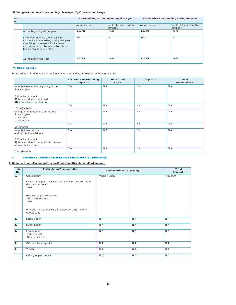#### **iii.***ChangeinPromoters'Shareholding(pleasespecify,ifthere is no change*

| Sr.<br>no |                                                                                                                                                                                           | Shareholding at the beginning of the year |                                     | Cumulative Shareholding during the year |                                     |
|-----------|-------------------------------------------------------------------------------------------------------------------------------------------------------------------------------------------|-------------------------------------------|-------------------------------------|-----------------------------------------|-------------------------------------|
|           |                                                                                                                                                                                           | No. of shares                             | % of total shares of the<br>company | No. of shares                           | % of total shares of the<br>company |
|           | At the beginning of the year                                                                                                                                                              | 8,44,000                                  | 16.88                               | 8,44,000                                | 16.88                               |
|           | Date wise Increase / Decrease in<br>Promoters Shareholding during the year<br>specifying the reasons for increase<br>/ decrease (e.g. allotment / transfer /<br>bonus/ sweat equity etc): | (242)                                     | $\mathbf{0}$                        | (242)                                   | $\mathbf{0}$                        |
|           | At the End of the year                                                                                                                                                                    | 843758                                    | 16.88                               | 843758                                  | 16.88                               |

### **V.INDEBTEDNESS**

Indebtedness oftheCompany including interestoutstanding/accrued butnotdueforpayment

|                                                                                       | SecuredLoansexcluding<br>deposits | <b>Unsecured</b><br>Loans | <b>Deposits</b> | Total<br>Indebtedness |
|---------------------------------------------------------------------------------------|-----------------------------------|---------------------------|-----------------|-----------------------|
| Indebtedness at the beginning of the<br>financial year                                | N.A                               | N.A                       | N.A             | N.A                   |
| i) Principal Amount<br>ii) Interest due but not paid<br>iii) Interest accrued but not |                                   |                           |                 |                       |
| $Total(i+ii+iii)$                                                                     | N.A                               | N.A                       | N.A             | N.A                   |
| Change in Indebtedness during the<br>financial year<br>- Addition<br>- Reduction      | N.A                               | N.A                       | N.A             | N.A                   |
| Net Change                                                                            | N.A                               | N.A                       | N.A             | N.A                   |
| Indebtedness at the<br>end of the financial year<br>i) Principal Amount               | N.A                               | N.A                       | N.A             | N.A                   |
| ii) Interest due but notpaid iii) Interest<br>accrued but not due                     |                                   |                           |                 |                       |
| Total $(i+ii+iii)$                                                                    | N.A                               | N.A                       | N.A             | N.A                   |

### **VI. REMUNERATIONOFDIRECTORSANDKEYMANAGERIAL PERSONNEL**

# **A. RemunerationtoManagingDirector,Whole-timeDirectorsand/orManager**

| SI.<br>No.     | ParticularsofRemuneration                                                                                                                                                                                                                          | NameofMD/WTD/Manager | Total<br>Amount |          |
|----------------|----------------------------------------------------------------------------------------------------------------------------------------------------------------------------------------------------------------------------------------------------|----------------------|-----------------|----------|
| $\mathbf{1}$ . | Gross salary<br>(a)Salary as per provisions contained in section17(1) of<br>the Income-tax Act,<br>1961<br>(b) Value of perquisites u/s<br>17(2) Income-tax Act,<br>1961<br>(c)Profit s in lieu of salary undersection17(3)Income-<br>taxAct, 1961 | Vinod T Shah         |                 | 4,80,000 |
| 2.             | Stock Option                                                                                                                                                                                                                                       | N.A                  | N.A             | N.A      |
| 3.             | Sweat Equity                                                                                                                                                                                                                                       | N.A                  | N.A             | N.A      |
| 4.             | Commission<br>- as% of profit<br>- Others, specify                                                                                                                                                                                                 | N.A                  | N.A             | N.A      |
| 5.             | Others, please specify                                                                                                                                                                                                                             | N.A                  | N.A             | N.A      |
| 6.             | Total(A)                                                                                                                                                                                                                                           | N.A                  | N.A             | N.A      |
|                | Ceiling as per the Act                                                                                                                                                                                                                             | N.A                  | N.A             | N.A      |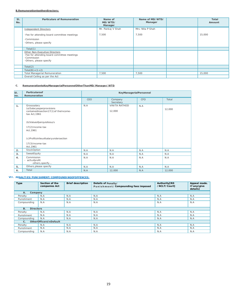### *B.***Remunerationtootherdirectors:**

| SI.<br>No. | <b>Particulars of Remuneration</b>                                                                                      | Name of<br>MD/WTD/<br>Manager | Name of MD/WTD/<br>Manager | Total<br>Amount |
|------------|-------------------------------------------------------------------------------------------------------------------------|-------------------------------|----------------------------|-----------------|
|            | <b>Independent Directors</b>                                                                                            | Mr. Pankaj V Shah             | Mrs. Nita P Shah           |                 |
|            | · Fee for attending board committee meetings<br>. Commission<br>Others, please specify                                  | 7,500                         | 7,500                      | 15,000          |
|            | Total(1)                                                                                                                |                               |                            |                 |
|            | Other Non-Executive Directors<br>· Fee for attending board committee meetings<br>. Commission<br>Others, please specify |                               |                            |                 |
|            | Total(2)                                                                                                                |                               |                            |                 |
|            | $Total(B) = (1 + 2)$                                                                                                    |                               |                            |                 |
|            | <b>Total Managerial Remuneration</b>                                                                                    | 7,500                         | 7,500                      | 15,000          |
|            | Overall Ceiling as per the Act                                                                                          |                               |                            |                 |

#### **C. RemunerationtoKeyManagerialPersonnelOtherThanMD/Manager/WTD**

| SI.<br>no. | Particularsof<br>Remuneration                                                                                                      | KeyManagerialPersonnel |                                |            |        |
|------------|------------------------------------------------------------------------------------------------------------------------------------|------------------------|--------------------------------|------------|--------|
|            |                                                                                                                                    | CEO                    | Company<br>Secretary           | <b>CFO</b> | Total  |
| 1.         | Grosssalary<br>(a)Salaryasperprovisions<br>containedinsection17(1) of theIncome-<br>tax Act, 1961                                  | N.A                    | <b>VINITA RATHOD</b><br>12,000 | N.A        | 12,000 |
|            | (b)Valueofperquisitesu/s<br>17(2) Income-tax<br>Act, 1961<br>(c)Profitsinlieuofsalaryundersection<br>17(3) Income-tax<br>Act, 1961 |                        |                                |            |        |
| 2.         | StockOption                                                                                                                        | N.A                    | N.A                            | N.A        | N.A    |
| 3.         | SweatEquity                                                                                                                        | N.A                    | N.A                            | N.A        | N.A    |
| 4.         | Commission<br>- as%ofprofit<br>-others, specify                                                                                    | N.A                    | N.A                            | N.A        | N.A    |
| 5.         | Others, please specify                                                                                                             | N.A                    | N.A                            | N.A        | N.A    |
| 6.         | Total                                                                                                                              | N.A                    | 12,000                         | N.A        | 12,000 |

### **VII. PENALTIES/PUNISHMENT/COMPOUNDINGOFOFFENCES:**

| <b>Type</b>                                  | Section of the<br>companies Act | <b>Brief description</b> | Details of Penalty/<br>Punishment/Compounding fees imposed | Authority[RD<br>/NCLT/Court] | Appeal made.<br>If any(give<br>details) |  |
|----------------------------------------------|---------------------------------|--------------------------|------------------------------------------------------------|------------------------------|-----------------------------------------|--|
| Company<br>Α.                                |                                 |                          |                                                            |                              |                                         |  |
| Penalty                                      | N.A                             | N.A                      | N.A                                                        | N.A                          | N.A                                     |  |
| Punishment                                   | N.A                             | N.A                      | N.A                                                        | N.A                          | N.A                                     |  |
| Compounding                                  | N.A                             | N.A                      | N.A                                                        | N.A                          | N.A                                     |  |
|                                              |                                 |                          |                                                            |                              |                                         |  |
| <b>B.</b><br><b>Directors</b>                |                                 |                          |                                                            |                              |                                         |  |
| Penalty                                      | N.A                             | N.A                      | N.A                                                        | N.A                          | N.A                                     |  |
| Punishment                                   | N.A                             | N.A                      | N.A                                                        | N.A                          | N.A                                     |  |
| Compounding                                  | N.A                             | N.A                      | N.A                                                        | N.A                          | N.A                                     |  |
| <b>OtherOfficersInDefault</b><br>$C_{\cdot}$ |                                 |                          |                                                            |                              |                                         |  |
| Penalty                                      | N.A                             | N.A                      | N.A                                                        | N.A                          | N.A                                     |  |
| Punishment                                   | N.A                             | N.A                      | N.A                                                        | N.A                          | N.A                                     |  |
| Compounding                                  | N.A                             | N.A                      | N.A                                                        | N.A                          | N.A                                     |  |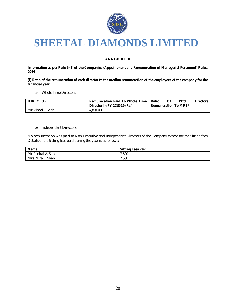

# **ANNEXURE III**

**Information as per Rule 5 (1) of the Companies (Appointment and Remuneration of Managerial Personnel) Rules, 2014**

**(i) Ratio of the remuneration of each director to the median remuneration of the employees of the company for the financial year**

a) Whole Time Directors

| <b>DIRECTOR</b>  | <b>Remuneration Paid To Whole Time</b><br>Director In FY 2018-19 (Rs.) | Ratio<br><b>Remuneration To MRE*</b> | Wtd | <b>Directors</b> |
|------------------|------------------------------------------------------------------------|--------------------------------------|-----|------------------|
| Mr. Vinod T Shah | 4.80.000                                                               | -----                                |     |                  |

b) Independent Directors

No remuneration was paid to Non Executive and Independent Directors of the Company except for the Sitting fees. Details of the Sitting fees paid during the year is as follows:

| Name              | <b>Sitting Fees Paid</b> |
|-------------------|--------------------------|
| Mr.Pankaj V. Shah | 7,500                    |
| Mrs. Nita P. Shah | 500,'                    |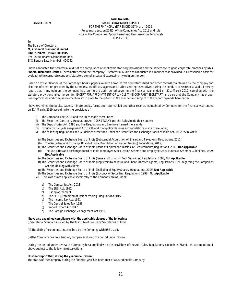#### **Form No. MR-3 ANNEXURE IV SECRETARIAL AUDIT REPORT**  FOR THE FINANCIAL YEAR ENDED 31<sup>st</sup> March, 2019 *[Pursuant to section 204(1) of the Companies Act, 2013 and rule No.9 of the Companies (Appointment and Remuneration Personnel) Rules, 2014]*

To The Board of Directors **M/s. Sheetal Diamonds Limited CIN: L56912MH1994PLC083945** BW - 2030, Bharat Diamond Bourse, BKC, Bandra East, Mumbai - 400051

I have conducted the secretarial audit of the compliance of applicable statutory provisions and the adherence to good corporate practices by **M/s. Sheetal Diamonds Limited**. (hereinafter called the "company"). Secretarial Audit was conducted in a manner that provided us a reasonable basis for evaluating the corporate conducts/statutory compliances and expressing my opinion thereon.

Based on my verification of the Company's books, papers, minute books, forms and returns filed and other records maintained by the company and also the information provided by the Company, its officers, agents and authorized representatives during the conduct of secretarial audit, I hereby report that in my opinion, the company has, during the audit period covering the financial year ended on 31st March 2019, complied with the statutory provisions listed hereunder, EXCEPT FOR APPOINTMENT OF WHOLE TIME COMPANY SECRETARY, and also that the Company has proper Board-processes and compliance-mechanism in place to the extent, in the manner and subject to the reporting made hereinafter:

I have examined the books, papers, minute books, forms and returns filed and other records maintained by Company for the financial year ended on 31<sup>st</sup> March, 2019 according to the provisions of:

- (i) The Companies Act 2013 and the Rules made thereunder ;
- (ii) The Securities Contracts (Regulation) Act, 1956 ('SCRA') and the Rules made there under;
- (iii) The Depositories Act, 1996 and the Regulations and Bye-laws framed there under;
- (iv) Foreign Exchange Management Act, 1999 and the applicable rules and regulations made thereunder;
- (v) The following Regulations and Guidelines prescribed under the Securities and Exchange Board of India Act, 1992 ('SEBI Act');

(a)The Securities and Exchange Board of India (Substantial Acquisition of Shares and Takeovers) Regulations, 2011; (b) The Securities and Exchange Board of India (Prohibition of Insider Trading) Regulations, 2015;

- (c)The Securities and Exchange Board of India (Issue of Capital and Disclosure Requirements)Regulations, 2009; *Not Applicable*
- (d) The Securities and Exchange Board of India (Employee Stock Option Scheme and Employee Stock Purchase Scheme) Guidelines, 1999;

#### *Not Applicable*

(e)The Securities and Exchange Board of India (Issue and Listing of Debt Securities) Regulations, 2008; *Not Applicable* 

(f) The Securities and Exchange Board of India (Registrars to an Issue and Share Transfer Agents) Regulations, 1993 regarding the Companies Act and dealing with client;

*(g)*The Securities and Exchange Board of India (Delisting of Equity Shares) Regulations, 2009- *Not Applicable* 

*(h)*The Securities and Exchange Board of India (Buyback of Securities) Regulations, 1998- *Not Applicable* 

(vi) The laws as are applicable specifically to the Company are as under:

- a) The Companies Act, 2013
- b) The SEBI Act, 1992
- c) Listing Agreement
- d) The SEBI (Prohibition of insider trading ) Regulations,2015
- e) The Income Tax Act, 1961
- f) The Central Sales Tax 1956
- 
- g) Import Export Act 1947<br>h) The Foreian Exchange M The Foreign Exchange Management Act 1999

#### **I have also examined compliance with the applicable clauses of the following:**

(i)Secretarial Standards issued by The Institute of Company Secretaries of India

(ii) The Listing Agreements entered into by the Company with BSE Listed,

(iii)The Company has no subsidiary companies during the period under review.

During the period under review the Company has complied with the provisions of the Act, Rules, Regulations, Guidelines, Standards, etc. mentioned above subject to the following observations:

#### **I Further report that, during the year under review:**

The status of the Company during the financial year has been that of a Listed Public Company.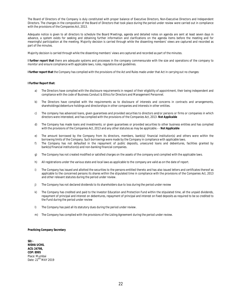The Board of Directors of the Company is duly constituted with proper balance of Executive Directors, Non-Executive Directors and Independent Directors. The changes in the composition of the Board of Directors that took place during the period under review were carried out in compliance with the provisions of the Companies Act, 2013.

Adequate notice is given to all directors to schedule the Board Meetings, agenda and detailed notes on agenda are sent at least seven days in advance, a system exists for seeking and obtaining further information and clarifications on the agenda items before the meeting and for meaningful participation at the meeting. Majority decision is carried through while the dissenting members' views are captured and recorded as part of the minutes.

Majority decision is carried through while the dissenting members' views are captured and recorded as part of the minutes.

**I further report that** there are adequate systems and processes in the company commensurate with the size and operations of the company to monitor and ensure compliance with applicable laws, rules, regulations and guidelines.

**I further report that** the Company has complied with the provisions of the Act and Rules made under that Act in carrying out no changes:

#### **I Further Report that:**

- a) The Directors have complied with the disclosure requirements in respect of their eligibility of appointment, their being independent and compliance with the code of Business Conduct & Ethics for Directors and Management Personnel.
- b) The Directors have complied with the requirements as to disclosure of interests and concerns in contracts and arrangements, shareholdings/debenture holdings and directorships in other companies and interests in other entities.
- c) The company has advanced loans, given guarantees and provided securities to directors and/or persons or firms or companies in which directors were interested, and has complied with the provisions of the Companies Act, 2013- *Not Applicable*
- d) The Company has made loans and investments; or given guarantees or provided securities to other business entities and has complied with the provisions of the Companies Act, 2013 and any other statutes as may be applicable.- - *Not Applicable*
- e) The amount borrowed by the Company from its directors, members, bank(s)/ financial institution(s) and others were within the borrowing limits of the Company. Such borrowings were made by the Company in compliance with applicable laws.
- f) The Company has not defaulted in the repayment of public deposits, unsecured loans and debentures, facilities granted by bank(s)/financial institution(s) and non-banking financial companies.
- g) The Company has not created modified or satisfied charges on the assets of the company and complied with the applicable laws.
- h) All registrations under the various state and local laws as applicable to the company are valid as on the date of report.
- i) The Company has issued and allotted the securities to the persons-entitled thereto and has also issued letters and certificates thereof as applicable to the concerned persons its shares within the stipulated time in compliance with the provisions of the Companies Act, 2013 and other relevant statutes during the period under review.
- j) The Company has not declared dividends to its shareholders due to loss during the period under review
- k) The Company has credited and paid to the Investor Education and Protection Fund within the stipulated time, all the unpaid dividends, repayment of principal and interest on debentures, repayment of principal and interest on fixed deposits as required to be so credited to the Fund during the period under review
- l) The Company has paid all its statutory dues during the period under review.
- m) The Company has complied with the provisions of the Listing Agreement during the period under review.

#### **Practicing Company Secretary**

**SD/- NISHA UCHIL ACS: 24798, COP: 8995** Place: Mumbai Date: 22<sup>ND</sup> MAY 2019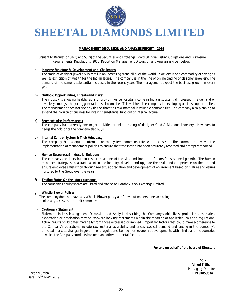

# **MANAGEMENT DISCUSSION AND ANALYSIS REPORT – 2019**

Pursuant to Regulation 34(3) and 53(f)] of the Securities and Exchange Board Of India (Listing Obligations And Disclosure Requirements) Regulations, 2015 Report on Management Discussion and Analysis is given below:

### **a) Industry Structure & Development and Challenges:**

The trade of designer jewellery in retail is on increasing trend all over the world. Jewellery is one commodity of saving as well as exhibition of wealth for the Indian ladies. The company is in the line of online trading of designer jewellery. The demand of the same is substantial increased in the recent years. The management expect the business growth in every year.

### **b) Outlook, Opportunities, Threats and Risks:**

The industry is showing healthy signs of growth. As per capital income in India is substantial increased, the demand of jewellery amongst the young generation is also on rise. This will help the company in developing business opportunities. The management does not see any risk or threat as raw material is valuable commodities. The company also planning to expand the horizon of business by investing substantial fund out of internal accrual.

### **c) Segment-wise Performance :**

The company has currently one major activities of online trading of designer Gold & Diamond jewellery. However, to hedge the gold price the company also buys.

### **d) Internal Control System & Their Adequacy**

The company has adequate internal control system commensurate with the size. The committee reviews the implementation of management policies to ensure that transaction has been accurately recorded and promptly reported.

### **e) Human Resources & Industrial Relation:**

The company considers human resources as one of the vital and important factors for sustained growth. The human resources strategy is to attract talent in the industry, develop and upgrade their skill and competence on the job and ensure employee satisfaction through reward, appreciation and development of environment based on culture and values nurtured by the Group over the years.

### **f) Trading Status On the stock exchange:**

The company's equity shares are Listed and traded on Bombay Stock Exchange Limited.

### **g) Whistle Blower Policy:**

 The company does not have any Whistle Blower policy as of now but no personnel are being denied any access to the audit committee.

### **h) Cautionary Statement:**

Statement in this Management Discussion and Analysis describing the Company's objectives, projections, estimates, expectation or predication may be "forward-looking" statements within the meaning of applicable laws and regulations. Actual results could differ materially from those expressed or implied. Important factors that could make a difference to the Company's operations include raw material availability and prices, cyclical demand and pricing in the Company's principal markets, changes in government regulations, tax regimes, economic developments within India and the countries in which the Company conducts business and other incidental factors.

### **For and on behalf of the board of Directors**

Sd/- **Vinod T. Shah** Managing Director<br>**DIN 01859634** 

Place : Mumbai Date: 22<sup>ND</sup> MAY, 2019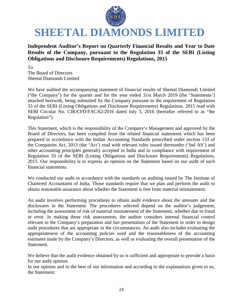

# **Independent Auditor's Report on Quarterly Financial Results and Year to Date Results of the Company, pursuant to the Regulation 33 of the SEBI (Listing Obligations and Disclosure Requirements) Regulations, 2015**

To The Board of Directors Sheetal Diamonds Limited

We have audited the accompanying statement of financial results of Sheetal Diamonds Limited ("the Company") for the quarter and for the year ended 31st March 2019 (the 'Statements') attached herewith, being submitted by the Company pursuant to the requirement of Regulation 33 of the SEBI (Listing Obligations and Disclosure Requirements) Regulations. 2015 read with SEBI Circular No. CIR/CFD/FAC/62/2016 dated July 5, 2016 (hereafter referred to as "the Regulation").

This Statement, which is the responsibility of the Company's Management and approved by the Board of Directors, has been compiled from the related financial statements which has been prepared in accordance with the Indian Accounting Standards prescribed under section 133 of the Companies Act, 2013 (the 'Act') read with relevant rules issued thereunder ('Ind AS') and other accounting principles generally accepted in India and in compliance with requirement of Regulation 33 of the SEBI (Listing Obligations and Disclosure Requirements) Regulations, 2015. Our responsibility is to express an opinion on the Statement based on our audit of such financial statements.

We conducted our audit in accordance with the standards on auditing issued by The Institute of Chartered Accountants of India. Those standards require that we plan and perform the audit to obtain reasonable assurance about whether the Statement is free from material misstatement.

An audit involves performing procedures to obtain audit evidence about the amounts and the disclosures in the Statement. The procedures selected depend on the auditor's judgement, including the assessment of risk of material misstatement of the Statement, whether due to fraud or error. In making those risk assessments, the auditor considers internal financial control relevant to the Company's preparation and fair presentation of the Statement in order to design audit procedures that are appropriate in the circumstances. An audit also includes evaluating the appropriateness of the accounting policies used and the reasonableness of the accounting estimates made by the Company's Directors, as well as evaluating the overall presentation of the Statement.

We believe that the audit evidence obtained by us is sufficient and appropriate to provide a basis for our audit opinion.

In our opinion and to the best of our information and according to the explanations given to us, the Statement: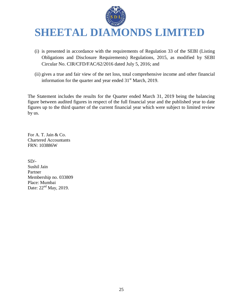

- (i) is presented in accordance with the requirements of Regulation 33 of the SEBI (Listing Obligations and Disclosure Requirements) Regulations, 2015, as modified by SEBI Circular No. CIR/CFD/FAC/62/2016 dated July 5, 2016; and
- (ii) gives a true and fair view of the net loss, total comprehensive income and other financial information for the quarter and year ended  $31<sup>st</sup>$  March, 2019.

The Statement includes the results for the Quarter ended March 31, 2019 being the balancing figure between audited figures in respect of the full financial year and the published year to date figures up to the third quarter of the current financial year which were subject to limited review by us.

For A. T. Jain & Co. Chartered Accountants FRN: 103886W

 $SD/-$ Sushil Jain Partner Membership no. 033809 Place: Mumbai Date:  $22<sup>nd</sup>$  May, 2019.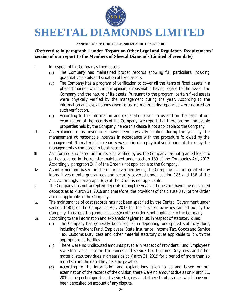

# **ANNEXURE 'A' TO THE INDEPENDENT AUDITOR'S REPORT**

# **(Referred to in paragraph 1 under 'Report on Other Legal and Regulatory Requirements' section of our report to the Members of Sheetal Diamonds Limited of even date)**

- i. In respect of the Company's fixed assets:
	- (a) The Company has maintained proper records showing full particulars, including quantitative details and situation of fixed assets.
	- (b) The Company has a program of verification to cover all the items of fixed assets in a phased manner which, in our opinion, is reasonable having regard to the size of the Company and the nature of its assets. Pursuant to the program, certain fixed assets were physically verified by the management during the year. According to the information and explanations given to us, no material discrepancies were noticed on such verification.
	- (c) According to the information and explanation given to us and on the basis of our examination of the records of the Company, we report that there are no immovable properties held by the Company, hence this clause is not applicable to the Company.
- ii. As explained to us, inventories have been physically verified during the year by the management at reasonable intervals in accordance with the procedure followed by the management. No material discrepancy was noticed on physical verification of stocks by the management as compared to book records.
- iii. As informed and based on the records verified by us, the Company has not granted loans to parties covered in the register maintained under section 189 of the Companies Act, 2013. Accordingly, paragraph 3(iii) of the Order is not applicable to the Company.
- iv. As informed and based on the records verified by us, the Company has not granted any loans, investments, guarantees and security covered under section 185 and 186 of the Act. Accordingly, paragraph 3(iv) of the Order is not applicable.
- v. The Company has not accepted deposits during the year and does not have any unclaimed deposits as at March 31, 2019 and therefore, the provisions of the clause 3 (v) of the Order are not applicable to the Company.
- vi. The maintenance of cost records has not been specified by the Central Government under section 148(1) of the Companies Act, 2013 for the business activities carried out by the Company. Thus reporting under clause 3(vi) of the order is not applicable to the Company.
- vii. According to the information and explanations given to us, in respect of statutory dues:
	- (a) The Company has generally been regular in depositing undisputed statutory dues, including Provident Fund, Employees' State Insurance, Income Tax, Goods and Service Tax, Customs Duty, cess and other material statutory dues applicable to it with the appropriate authorities.
	- (b) There were no undisputed amounts payable in respect of Provident Fund, Employees' State Insurance, Income Tax, Goods and Service Tax, Customs Duty, cess and other material statutory dues in arrears as at March 31, 2019 for a period of more than six months from the date they became payable.
	- (c) According to the information and explanations given to us and based on our examination of the records of the division, there were no amounts due as on March 31, 2019 in respect of goods and service tax, cess and other statutory dues which have not been deposited on account of any dispute.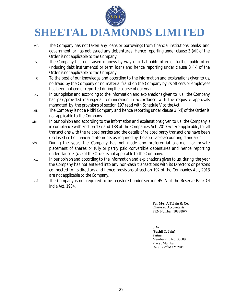

- viii. The Company has not taken any loans or borrowings from financial institutions, banks and government or has not issued any debentures. Hence reporting under clause 3 (viii) of the Order is not applicable to the Company.
- ix. The Company has not raised moneys by way of initial public offer or further public offer (including debt instruments) or term loans and hence reporting under clause 3 (ix) of the Order is not applicable to the Company.
- x. To the best of our knowledge and according to the information and explanations given to us, no fraud by the Company or no material fraud on the Company by its officers or employees has been noticed or reported during the course of our year.
- xi. In our opinion and according to the information and explanations given to us, the Company has paid/provided managerial remuneration in accordance with the requisite approvals mandated by the provisions of section 197 read with Schedule V to theAct.
- xii. The Company is not a Nidhi Company and hence reporting under clause 3 (xii) of the Order is not applicable to the Company.
- xiii. In our opinion and according to the information and explanations given to us, the Company is in compliance with Section 177 and 188 of the Companies Act, 2013 where applicable, for all transactions with the related parties and the details of related party transactions have been disclosed in the financial statements as required by the applicable accounting standards.
- xiv. During the year, the Company has not made any preferential allotment or private placement of shares or fully or partly paid convertible debentures and hence reporting under clause 3 (xiv) of the Order is not applicable to the Company.
- xv. In our opinion and according to the information and explanations given to us, during the year the Company has not entered into any non-cash transactions with its Directors or persons connected to its directors and hence provisions of section 192 of the Companies Act, 2013 are not applicable to theCompany.
- xvi. The Company is not required to be registered under section 45-IA of the Reserve Bank Of India Act, 1934.

**For M/s. A.T.Jain & Co.** Chartered Accountants FRN Number: 103886W

SD/- **(Sushil T. Jain)** Partner Membership No. 33809 Place : Mumbai Date:  $22<sup>nd</sup>$ MAY 2019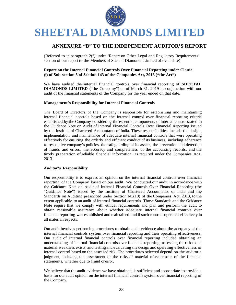

# **ANNEXURE "B" TO THE INDEPENDENT AUDITOR'S REPORT**

(Referred to in paragraph 2(f) under 'Report on Other Legal and Regulatory Requirements' section of our report to the Members of Sheetal Diamonds Limited of even date)

# **Report on the Internal Financial Controls Over Financial Reporting under Clause (i) of Sub-section 3 of Section 143 of the Companies Act, 2013 ("the Act")**

We have audited the internal financial controls over financial reporting of **SHEETAL DIAMONDS LIMITED** ("the Company") as of March 31, 2019 in conjunction with our audit of the financial statements of the Company for the year ended on that date.

# **Management's Responsibility for Internal Financial Controls**

The Board of Directors of the Company is responsible for establishing and maintaining internal financial controls based on the internal control over financial reporting criteria established by the Company considering the essential components of internal controlstated in the Guidance Note on Audit of Internal Financial Controls Over Financial Reporting issued by the Institute of Chartered Accountants of India. These responsibilities include the design, implementation and maintenance of adequate internal financial controls that were operating effectively for ensuring the orderly and efficient conduct of its business, including adherence to respective company's policies, the safeguarding of its assets, the prevention and detection of frauds and errors, the accuracy and completeness of the accounting records, and the timely preparation of reliable financial information, as required under the Companies Ac t, 2013.

# **Auditor's Responsibility**

Our responsibility is to express an opinion on the internal financial controls over financial reporting of the Company based on our audit. We conducted our audit in accordance with the Guidance Note on Audit of Internal Financial Controls Over Financial Reporting (the "Guidance Note") issued by the Institute of Chartered Accountants of India and the Standards on Auditing prescribed under Section 143(10) of the Companies Act, 2013, to the extent applicable to an audit of internal financial controls. Those Standards and the Guidance Note require that we comply with ethical requirements and plan and perform the audit to obtain reasonable assurance about whether adequate internal financial controls over financial reporting was established and maintained and if such controls operated effectively in all material respects.

Our audit involves performing procedures to obtain audit evidence about the adequacy of the internal financial controls system over financial reporting and their operating effectiveness. Our audit of internal financial controls over financial reporting included obtaining an understanding of internal financial controls over financial reporting, assessing the risk that a material weakness exists, and testing and evaluating the design and operating effectiveness of internal control based on the assessed risk. The procedures selected depend on the auditor's judgment, including the assessment of the risks of material misstatement of the financial statements, whether due to fraud or error.

We believe that the audit evidence we have obtained, is sufficient and appropriate to provide a basis for our audit opinion on the internal financial controls system over financial reporting of the Company.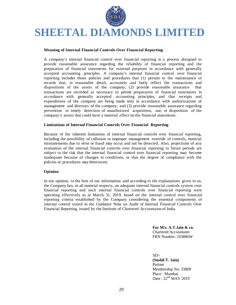

# **Meaning of Internal Financial Controls Over Financial Reporting**

A company's internal financial control over financial reporting is a process designed to provide reasonable assurance regarding the reliability of financial reporting and the preparation of financial statements for external purposes in accordance with generally accepted accounting principles. A company's internal financial control over financial reporting includes those policies and procedures that (1) pertain to the maintenance of records that, in reasonable detail, accurately and fairly reflect the transactions and dispositions of the assets of the company; (2) provide reasonable assurance that transactions are recorded as necessary to permit preparation of financial statements in accordance with generally accepted accounting principles, and that receipts and expenditures of the company are being made only in accordance with authorizations of management and directors of the company; and (3) provide reasonable assurance regarding prevention or timely detection of unauthorized acquisition, use, or disposition of the company's assets that could have a material effect on the financial statements.

# **Limitations of Internal Financial Controls Over Financial Reporting**

Because of the inherent limitations of internal financial controls over financial reporting, including the possibility of collusion or improper management override of controls, material misstatements due to error or fraud may occur and not be detected. Also, projections of any evaluation of the internal financial controls over financial reporting to future periods are subject to the risk that the internal financial control over financial reporting may become inadequate because of changes in conditions, or that the degree of compliance with the policies or procedures may deteriorate.

# **Opinion**

In our opinion, to the best of our information and according to the explanations given to us, the Company has, in all material respects, an adequate internal financial controls system over financial reporting and such internal financial controls over financial reporting were operating effectively as at March 31, 2019, based on the internal control over financial reporting criteria established by the Company considering the essential components of internal control stated in the Guidance Note on Audit of Internal Financial Controls Over Financial Reporting issued by the Institute of Chartered Accountants of India.

> **For M/s. A.T.Jain & co.** Chartered Accountants FRN Number: 103886W

 $SD/-$ **(Sushil T. Jain)** Partner Membership No. 33809 Place : Mumbai Date:  $22<sup>nd</sup>$  MAY 2019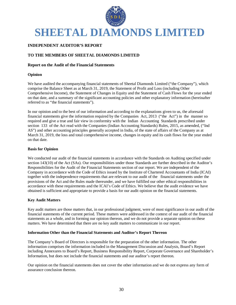

# **INDEPENDENT AUDITOR'S REPORT**

# **TO THE MEMBERS OF SHEETAL DIAMONDS LIMITED**

# **Report on the Audit of the Financial Statements**

# **Opinion**

We have audited the accompanying financial statements of Sheetal Diamonds Limited ("the Company"), which comprise the Balance Sheet as at March 31, 2019, the Statement of Profit and Loss (including Other Comprehensive Income), the Statement of Changes in Equity and the Statement of Cash Flows for the year ended on that date, and a summary of the significant accounting policies and other explanatory information (hereinafter referred to as "the financial statements").

In our opinion and to the best of our information and according to the explanations given to us, the aforesaid financial statements give the information required by the Companies Act, 2013 ("the Act") in the manner so required and give a true and fair view in conformity with the Indian Accounting Standards prescribed under section 133 of the Act read with the Companies (Indian Accounting Standards) Rules, 2015, as amended, ("Ind AS") and other accounting principles generally accepted in India, of the state of affairs of the Company as at March 31, 2019, the loss and total comprehensive income, changes in equity and its cash flows for the year ended on that date.

# **Basis for Opinion**

We conducted our audit of the financial statements in accordance with the Standards on Auditing specified under section 143(10) of the Act (SAs). Our responsibilities under those Standards are further described in the Auditor's Responsibilities for the Audit of the Financial Statements section of our report. We are independent of the Company in accordance with the Code of Ethics issued by the Institute of Chartered Accountants of India (ICAI) together with the independence requirements that are relevant to our audit of the financial statements under the provisions of the Act and the Rules made thereunder, and we have fulfilled our other ethical responsibilities in accordance with these requirements and the ICAI's Code of Ethics. We believe that the audit evidence we have obtained is sufficient and appropriate to provide a basis for our audit opinion on the financial statements.

# **Key Audit Matters**

Key audit matters are those matters that, in our professional judgment, were of most significance in our audit of the financial statements of the current period. These matters were addressed in the context of our audit of the financial statements as a whole, and in forming our opinion thereon, and we do not provide a separate opinion on these matters. We have determined that there are no key audit matters to communicate in our report.

# **Information Other than the Financial Statements and Auditor's Report Thereon**

The Company's Board of Directors is responsible for the preparation of the other information. The other information comprises the information included in the Management Discussion and Analysis, Board's Report including Annexures to Board's Report, Business Responsibility Report, Corporate Governance and Shareholder's Information, but does not include the financial statements and our auditor's report thereon.

Our opinion on the financial statements does not cover the other information and we do not express any form of assurance conclusion thereon.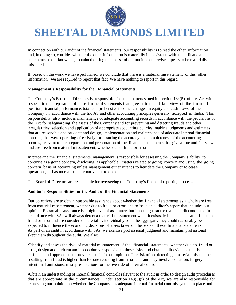

In connection with our audit of the financial statements, our responsibility is to read the other information and, in doing so, consider whether the other information is materially inconsistent with the financial statements or our knowledge obtained during the course of our audit or otherwise appears to be materially misstated.

If, based on the work we have performed, we conclude that there is a material misstatement of this other information, we are required to report that fact. We have nothing to report in this regard.

# **Management's Responsibility for the Financial Statements**

The Company's Board of Directors is responsible for the matters stated in section 134(5) of the Act with respect to the preparation of these financial statements that give a true and fair view of the financial position, financial performance, total comprehensive income, changes in equity and cash flows of the Company in accordance with the Ind AS and other accounting principles generally accepted in India. This responsibility also includes maintenance of adequate accounting records in accordance with the provisions of the Act for safeguarding the assets of the Company and for preventing and detecting frauds and other irregularities; selection and application of appropriate accounting policies; making judgments and estimates that are reasonable and prudent; and design, implementation and maintenance of adequate internal financial controls, that were operating effectively for ensuring the accuracy and completeness of the accounting records, relevant to the preparation and presentation of the financial statements that give a true and fair view and are free from material misstatement, whether due to fraud or error.

In preparing the financial statements, management is responsible for assessing the Company's ability to continue as a going concern, disclosing, as applicable, matters related to going concern and using the going concern basis of accounting unless management either intends to liquidate the Company or to cease operations, or has no realistic alternative but to do so.

The Board of Directors are responsible for overseeing the Company's financial reporting process.

# **Auditor's Responsibilities for the Audit of the Financial Statements**

Our objectives are to obtain reasonable assurance about whether the financial statements as a whole are free from material misstatement, whether due to fraud or error, and to issue an auditor's report that includes our opinion. Reasonable assurance is a high level of assurance, but is not a guarantee that an audit conducted in accordance with SAs will always detect a material misstatement when it exists. Misstatements can arise from fraud or error and are considered material if, individually or in the aggregate, they could reasonably be expected to influence the economic decisions of users taken on the basis of these financial statements. As part of an audit in accordance with SAs, we exercise professional judgment and maintain professional skepticism throughout the audit. We also:

•Identify and assess the risks of material misstatement of the financial statements, whether due to fraud or error, design and perform audit procedures responsive to those risks, and obtain audit evidence that is sufficient and appropriate to provide a basis for our opinion. The risk of not detecting a material misstatement resulting from fraud is higher than for one resulting from error, as fraud may involve collusion, forgery, intentional omissions, misrepresentations, or the override of internal control.

•Obtain an understanding of internal financial controls relevant to the audit in order to design audit procedures that are appropriate in the circumstances. Under section  $143(3)(i)$  of the Act, we are also responsible for expressing our opinion on whether the Company has adequate internal financial controls system in place and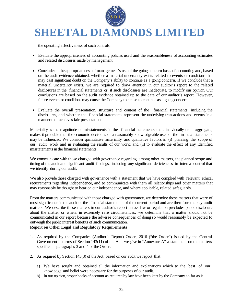

the operating effectiveness of such controls.

- Evaluate the appropriateness of accounting policies used and the reasonableness of accounting estimates and related disclosures made by management.
- Conclude on the appropriateness of management's use of the going concern basis of accounting and, based on the audit evidence obtained, whether a material uncertainty exists related to events or conditions that may cast significant doubt on the Company's ability to continue as a going concern. If we conclude that a material uncertainty exists, we are required to draw attention in our auditor's report to the related disclosures in the financial statements or, if such disclosures are inadequate, to modify our opinion. Our conclusions are based on the audit evidence obtained up to the date of our auditor's report. However, future events or conditions may cause the Company to cease to continue as a going concern.
- Evaluate the overall presentation, structure and content of the financial statements, including the disclosures, and whether the financial statements represent the underlying transactions and events in a manner that achieves fair presentation.

Materiality is the magnitude of misstatements in the financial statements that, individually or in aggregate, makes it probable that the economic decisions of a reasonably knowledgeable user of the financial statements may be influenced. We consider quantitative materiality and qualitative factors in (i) planning the scope of our audit work and in evaluating the results of our work; and (ii) to evaluate the effect of any identified misstatements in the financial statements.

We communicate with those charged with governance regarding, among other matters, the planned scope and timing of the audit and significant audit findings, including any significant deficiencies in internal control that we identify during our audit.

We also provide those charged with governance with a statement that we have complied with relevant ethical requirements regarding independence, and to communicate with them all relationships and other matters that may reasonably be thought to bear on our independence, and where applicable, related safeguards.

From the matters communicated with those charged with governance, we determine those matters that were of most significance in the audit of the financial statements of the current period and are therefore the key audit matters. We describe these matters in our auditor's report unless law or regulation precludes public disclosure about the matter or when, in extremely rare circumstances, we determine that a matter should not be communicated in our report because the adverse consequences of doing so would reasonably be expected to outweigh the public interest benefits of such communication.

# **Report on Other Legal and Regulatory Requirements**

- 1. As required by the Companies (Auditor's Report) Order, 2016 ("the Order") issued by the Central Government in terms of Section 143(11) of the Act, we give in "Annexure A" a statement on the matters specified in paragraphs 3 and 4 of the Order.
- 2. As required by Section 143(3) of the Act, based on our audit we report that:
	- a) We have sought and obtained all the information and explanations which to the best of our knowledge and belief were necessary for the purposes of our audit.
	- b) In our opinion, proper books of account as required by law have been kept by the Company so far as it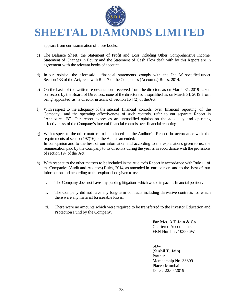

appears from our examination of those books.

- c) The Balance Sheet, the Statement of Profit and Loss including Other Comprehensive Income, Statement of Changes in Equity and the Statement of Cash Flow dealt with by this Report are in agreement with the relevant books of account.
- d) In our opinion, the aforesaid financial statements comply with the Ind AS specified under Section 133 of the Act, read with Rule 7 of the Companies (Accounts) Rules, 2014.
- e) On the basis of the written representations received from the directors as on March 31, 2019 taken on record by the Board of Directors, none of the directors is disqualified as on March 31, 2019 from being appointed as a director in terms of Section 164 (2) of the Act.
- f) With respect to the adequacy of the internal financial controls over financial reporting of the Company and the operating effectiveness of such controls, refer to our separate Report in "Annexure B". Our report expresses an unmodified opinion on the adequacy and operating effectiveness of the Company's internal financial controls over financial reporting.
- g) With respect to the other matters to be included in the Auditor's Report in accordance with the requirements of section 197(16) of the Act, as amended: In our opinion and to the best of our information and according to the explanations given to us, the remuneration paid by the Company to its directors during the year is in accordance with the provisions of section 197 of the Act.
- h) With respect to the other matters to be included in the Auditor's Report in accordance with Rule 11 of the Companies (Audit and Auditors) Rules, 2014, as amended in our opinion and to the best of our information and according to the explanations given to us:
	- i. The Company does not have any pending litigations which would impact its financial position.
	- ii. The Company did not have any long-term contracts including derivative contracts for which there were any material foreseeable losses.
	- iii. There were no amounts which were required to be transferred to the Investor Education and Protection Fund by the Company.

**For M/s. A.T.Jain & Co.** Chartered Accountants FRN Number: 103886W

 $SD/-$ **(Sushil T. Jain)** Partner Membership No. 33809 Place : Mumbai Date : 22/05/2019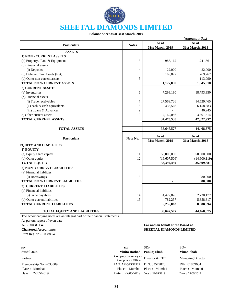

**Balance Sheet as at 31st March, 2019**

|                                         |              |                            | (Amount in Rs.)            |
|-----------------------------------------|--------------|----------------------------|----------------------------|
| <b>Particulars</b>                      | <b>Notes</b> | As at                      | As at                      |
|                                         |              | 31st March, 2019           | 31st March, 2018           |
| <b>ASSETS</b>                           |              |                            |                            |
| 1) NON - CURRENT ASSETS                 |              |                            |                            |
| (a) Property, Plant & Equipment         | 3            | 985,162                    | 1,241,561                  |
| (b) Financial assets                    |              |                            |                            |
| (i) Deposits                            | 4            | 22,000                     | 22,000                     |
| (c) Deferred Tax Assets (Net)           |              | 169,877                    | 269,267                    |
| (d) Other non current assets            | 5            |                            | 113,090                    |
| <b>TOTAL NON- CURRENT ASSETS</b>        |              | 1,177,039                  | 1,645,918                  |
| 2) CURRENT ASSETS                       |              |                            |                            |
| (a) Inventories                         | 6            | 7,298,190                  | 18,793,350                 |
| (b) Financial assets                    |              |                            |                            |
| (i) Trade receivables                   | 7            | 27,569,726                 | 14,529,465                 |
| (ii) cash & cash equivalents            | 8            | 433,566                    | 6,158,383                  |
| (iii) Loans & Advances                  | 9            |                            | 40,245                     |
| c) Other current assets                 | 10           | 2,169,056                  | 3,301,514                  |
| <b>TOTAL CURRENT ASSETS</b>             |              | 37,470,538                 | 42,822,957                 |
|                                         |              |                            |                            |
| <b>TOTAL ASSETS</b>                     |              | 38,647,577                 | 44,468,875                 |
|                                         |              |                            |                            |
| <b>Particulars</b>                      | Note No.     | As at                      | As at                      |
|                                         |              | 31st March, 2019           | 31st March, 2018           |
| <b>EQUITY AND LIABILTIES</b>            |              |                            |                            |
| 1) EQUITY                               |              | 50,000,000                 |                            |
| (a) Equity share capital                | 11<br>12     |                            | 50,000,000                 |
| (b) Other equity<br><b>TOTAL EQUITY</b> |              | (16,607,506)<br>33,392,494 | (14,600,119)<br>35,399,881 |
|                                         |              |                            |                            |
| 2) NON- CURRENT LIABILITIES             |              |                            |                            |
| (a) Financial liablities                |              |                            |                            |
| (i) Borrowings                          | 13           |                            | 980,000                    |
| <b>TOTAL NON- CURRENT LIABILITIES</b>   |              |                            | 980,000                    |
| 3) CURRENT LIABILITIES                  |              |                            |                            |
| (a) Financial liablities                |              |                            |                            |
| (i)Trade payables                       | 14           | 4,472,826                  | 2,730,177                  |
| (b) Other current liabilities           | 15           | 782,257                    | 5,358,817                  |
| <b>TOTAL CURRENT LIABILITIES</b>        |              | 5,255,083                  | 8,088,994                  |
| <b>TOTAL EQUITY AND LIABILITIES</b>     |              | 38,647,577                 | 44,468,875                 |

The accompanying notes are an integral part of the financial statements.

As per our report of even date **A.T.Jain & Co. For and on behalf of the Board of Chartered Accountants SHEETAL DIAMONDS LIMITED**

Firm Reg No:- 103886W

| SD/-                    | $SD/-$                                                       | $SD/-$ | $SD/-$                   |
|-------------------------|--------------------------------------------------------------|--------|--------------------------|
| Sushil Jain             | Vinita Rathod Pankaj Shah                                    |        | <b>Vinod Shah</b>        |
| Partner                 | Company Secretary as<br>Compliance Officer<br>Director & CFO |        | <b>Managing Director</b> |
| Membership No: - 033809 | PAN: AMQPR3191R DIN: 03579870                                |        | DIN: 01859634            |
| Place: Mumbai           | Place: Mumbai Place: Mumbai                                  |        | Place: Mumbai            |
| Date: 22/05/2019        | Date: $22/05/2019$ Date: $22/05/2019$                        |        | Date: 22/05/2019         |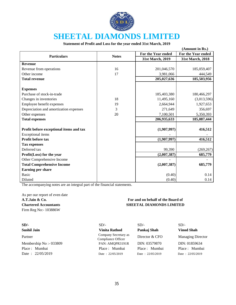

**Statement of Profit and Loss for the year ended 31st March, 2019**

|                                         |              |                    | (Amount in Rs.)    |
|-----------------------------------------|--------------|--------------------|--------------------|
| <b>Particulars</b>                      | <b>Notes</b> | For the Year ended | For the Year ended |
|                                         |              | 31st March, 2019   | 31st March, 2018   |
| <b>Revenue</b>                          |              |                    |                    |
| Revenue from operations                 | 16           | 201,046,570        | 185,059,407        |
| Other income                            | 17           | 3,981,066          | 444,549            |
| <b>Total revenue</b>                    |              | 205,027,636        | 185,503,956        |
| <b>Expenses</b>                         |              |                    |                    |
| Purchase of stock-in-trade              |              | 185,403,380        | 180,466,297        |
| Changes in inventories                  | 18           | 11,495,160         | (3,013,596)        |
| Employee benefit expenses               | 19           | 2,664,944          | 1,927,653          |
| Depreciation and amortization expenses  | 3            | 271,649            | 356,697            |
| Other expenses                          | 20           | 7,100,501          | 5,350,393          |
| <b>Total expenses</b>                   |              | 206,935,633        | 185,087,444        |
| Profit before exceptional items and tax |              | (1,907,997)        | 416,512            |
| Exceptional items                       |              |                    |                    |
| Profit before tax                       |              | (1,907,997)        | 416,512            |
| <b>Tax expenses</b>                     |              |                    |                    |
| Deferred tax                            |              | 99,390             | (269, 267)         |
| Profit(Loss) for the year               |              | (2,007,387)        | 685,779            |
| Other Comprehensive Income              |              |                    |                    |
| <b>Total Comprehensive Income</b>       |              | (2,007,387)        | 685,779            |
| <b>Earning per share</b>                |              |                    |                    |
| <b>Basic</b>                            |              | (0.40)             | 0.14               |
| Diluted                                 |              | (0.40)             | 0.14               |

The accompanying notes are an integral part of the financial statements.

As per our report of even date **A.T.Jain & Co. Chartered Accountants** Firm Reg No:- 103886W

# **For and on behalf of the Board of SHEETAL DIAMONDS LIMITED**

| $SD/-$                   | $SD/-$                                     | $SD/-$           | $SD/-$                   |
|--------------------------|--------------------------------------------|------------------|--------------------------|
| <b>Sushil Jain</b>       | Vinita Rathod                              | Pankaj Shah      | <b>Vinod Shah</b>        |
| Partner                  | Company Secretary as<br>Compliance Officer | Director & CFO   | <b>Managing Director</b> |
| Membership No: $-033809$ | PAN: AMOPR3191R                            | DIN: 03579870    | DIN: 01859634            |
| Place: Mumbai            | Place: Mumbai                              | Place: Mumbai    | Place: Mumbai            |
| Date: $22/05/2019$       | Date: 22/05/2019                           | Date: 22/05/2019 | Date: 22/05/2019         |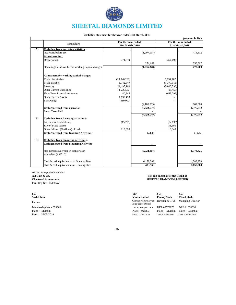

#### **Cash flow statement for the year ended 31st March, 2019**

|              |                                                   |                    |             |             | (Amount in Rs.)    |  |  |
|--------------|---------------------------------------------------|--------------------|-------------|-------------|--------------------|--|--|
|              | <b>Particulars</b>                                | For the Year ended |             |             | For the Year ended |  |  |
|              |                                                   | 31st March, 2019   |             |             | 31st March, 2018   |  |  |
| A)           | Cash flow from operating activities :-            |                    |             |             |                    |  |  |
|              | Net Profit before tax                             |                    | (1,907,997) |             | 416,512            |  |  |
|              | <b>Adjustment for:</b>                            |                    |             |             |                    |  |  |
|              | Depreciation                                      | 271,649            |             | 356,697     |                    |  |  |
|              |                                                   |                    | 271,649     |             | 356,697            |  |  |
|              | Operating Cashflow before working Capital changes |                    | (1,636,348) |             | 773,209            |  |  |
|              | <b>Adjustment for working capital changes</b>     |                    |             |             |                    |  |  |
|              | Trade Receivable                                  | (13,040,261)       |             | 5,654,762   |                    |  |  |
|              | <b>Trade Payable</b>                              | 1,742,649          |             | (1,377,113) |                    |  |  |
|              | Inventory                                         | 11,495,160         |             | (3,013,596) |                    |  |  |
|              | <b>Other Current Liabilities</b>                  | (4,576,560)        |             | (15, 458)   |                    |  |  |
|              | Short Term Loans & Advances                       | 40,245             |             | (645,792)   |                    |  |  |
|              | <b>Other Current Assets</b>                       | 1,132,458          |             |             |                    |  |  |
|              | <b>Borrowings</b>                                 | (980,000)          |             |             |                    |  |  |
|              |                                                   |                    | (4,186,309) |             | 602,804            |  |  |
|              | <b>Cash generated from operation</b>              |                    | (5,822,657) |             | 1,376,012          |  |  |
|              | Less: Taxes Paid                                  |                    |             |             |                    |  |  |
|              |                                                   |                    | (5,822,657) |             | 1,376,012          |  |  |
| $\bf{B}$     | Cash flow from Investing activities :-            |                    |             |             |                    |  |  |
|              | Purchase of Fixed Assets                          | (15,250)           |             | (72, 035)   |                    |  |  |
|              | Sale of Fixed Assets                              |                    |             | 51,600      |                    |  |  |
|              | Other Inflow / (Outflows) of cash                 | 113,090            |             | 18,848      |                    |  |  |
|              | <b>Cash generated from Investing Activities</b>   |                    | 97,840      |             | (1,587)            |  |  |
| $\mathbf{C}$ | <b>Cash flow from Financing activities :-</b>     |                    |             |             |                    |  |  |
|              | <b>Cash generated from Financing Activities</b>   |                    |             |             |                    |  |  |
|              | Net Increase/Decrease in cash or cash             |                    | (5,724,817) |             | 1,374,425          |  |  |
|              | equivalent $(A+B+C)$                              |                    |             |             |                    |  |  |
|              | Cash & cash equivalent as at Opening Date         |                    | 6,158,383   |             | 4,783,958          |  |  |
|              | Cash & cash equivalent as at Closing Date         |                    | 433,566     |             | 6,158,383          |  |  |

As per our report of even date<br>A.T.Jain & Co. **Chartered Accountants** Firm Reg No:- 103886W

#### **A.T.Jain & Co. For and on behalf of the Board of SHEETAL DIAMONDS LIMITED**

| SD/-                    | $SD/-$                                                    | $SD/-$                      | $SD/-$                   |
|-------------------------|-----------------------------------------------------------|-----------------------------|--------------------------|
| Sushil Jain             | <b>Vinita Rathod</b>                                      | Pankai Shah                 | <b>Vinod Shah</b>        |
| Partner                 | Company Secretary as Director & CFO<br>Compliance Officer |                             | <b>Managing Director</b> |
| Membership No :- 033809 | PAN: AMOPR3191R                                           | DIN: 03579870               | DIN: 01859634            |
| Place : Mumbai          | Place: Mumbai                                             | Place: Mumbai Place: Mumbai |                          |
| Date: 22/05/2019        | Date: 22/05/2019                                          | Date: 22/05/2019            | Date: 22/05/2019         |

### 36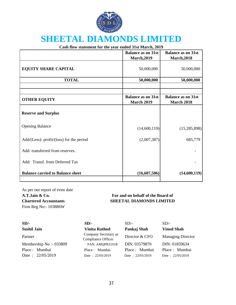

**Cash flow statement for the year ended 31st March, 2019**

|                                             | <b>Balance as on 31st</b> | <b>Balance as on 31st</b> |  |
|---------------------------------------------|---------------------------|---------------------------|--|
|                                             | <b>March, 2019</b>        | <b>March, 2018</b>        |  |
| <b>EQUITY SHARE CAPITAL</b>                 | 50,000,000                | 50,000,000                |  |
| <b>TOTAL</b>                                | 50,000,000                | 50,000,000                |  |
|                                             |                           |                           |  |
|                                             |                           |                           |  |
| <b>OTHER EQUITY</b>                         | <b>Balance as on 31st</b> | <b>Balance as on 31st</b> |  |
|                                             | <b>March 2019</b>         | <b>March 2018</b>         |  |
| <b>Reserve and Surplus</b>                  |                           |                           |  |
| <b>Opening Balance</b>                      | (14,600,119)              | (15, 285, 898)            |  |
| $Add/(Less)$ : profit/(loss) for the period | (2,007,387)               | 685,779                   |  |
| Add: transferred from reserves.             |                           |                           |  |
| Add: Transf. from Deferred Tax              |                           |                           |  |
| <b>Balance carried to Balance sheet</b>     | (16,607,506)              | (14,600,119)              |  |

As per our report of even date **A.T.Jain & Co. Chartered Accountants** Firm Reg No:- 103886W

# **SHEETAL DIAMONDS LIMITED For and on behalf of the Board of**

| $SD/-$<br><b>Sushil Jain</b> | $SD/-$<br><b>Vinita Rathod</b>             | $SD/-$<br>Pankaj Shah | $SD/-$<br><b>Vinod Shah</b> |
|------------------------------|--------------------------------------------|-----------------------|-----------------------------|
| Partner                      | Company Secretary as<br>Compliance Officer | Director & CFO        | <b>Managing Director</b>    |
| Membership No: - 033809      | PAN: AMOPR3191R                            | DIN: 03579870         | DIN: 01859634               |
| Place : Mumbai               | Place: Mumbai                              | Place: Mumbai         | Place: Mumbai               |
| Date: $22/05/2019$           | Date: $22/05/2019$                         | Date: $22/05/2019$    | Date: 22/05/2019            |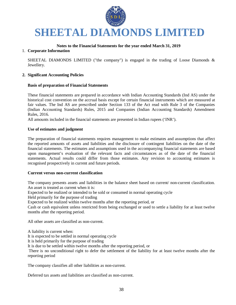

# **Notes to the Financial Statements for the year ended March 31, 2019**

# 1. **Corporate Information**

SHEETAL DIAMONDS LIMITED ("the company") is engaged in the trading of Loose Diamonds  $\&$ Jewellery.

# **2. Significant Accounting Policies**

# **Basis of preparation of Financial Statements**

These financial statements are prepared in accordance with Indian Accounting Standards (Ind AS) under the historical cost convention on the accrual basis except for certain financial instruments which are measured at fair values. The Ind AS are prescribed under Section 133 of the Act read with Rule 3 of the Companies (Indian Accounting Standards) Rules, 2015 and Companies (Indian Accounting Standards) Amendment Rules, 2016.

All amounts included in the financial statements are presented in Indian rupees ('INR').

# **Use of estimates and judgment**

The preparation of financial statements requires management to make estimates and assumptions that affect the reported amounts of assets and liabilities and the disclosure of contingent liabilities on the date of the financial statements. The estimates and assumptions used in the accompanying financial statements are based upon management's evaluation of the relevant facts and circumstances as of the date of the financial statements. Actual results could differ from those estimates. Any revision to accounting estimates is recognised prospectively in current and future periods.

# **Current versus non-current classification**

The company presents assets and liabilities in the balance sheet based on current/ non-current classification. An asset is treated as current when it is:

Expected to be realized or intended to be sold or consumed in normal operating cycle

Held primarily for the purpose of trading

Expected to be realized within twelve months after the reporting period, or

Cash or cash equivalent unless restricted from being exchanged or used to settle a liability for at least twelve months after the reporting period.

All other assets are classified as non-current.

A liability is current when:

It is expected to be settled in normal operating cycle

It is held primarily for the purpose of trading

It is due to be settled within twelve months after the reporting period, or

There is no unconditional right to defer the settlement of the liability for at least twelve months after the reporting period

The company classifies all other liabilities as non-current.

Deferred tax assets and liabilities are classified as non-current.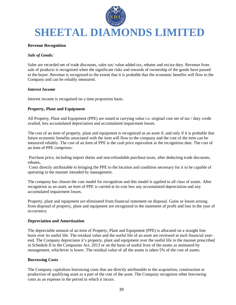

# **Revenue Recognition**

# *Sale of Goods:*

Sales are recorded net of trade discounts, sales tax/ value added tax, rebates and excise duty. Revenue from sale of products is recognised when the significant risks and rewards of ownership of the goods have passed to the buyer. Revenue is recognised to the extent that it is probable that the economic benefits will flow to the Company and can be reliably measured.

# *Interest Income*

Interest income is recognised on a time proportion basis.

# **Property, Plant and Equipment**

All Property, Plant and Equipment (PPE) are stated at carrying value i.e. original cost net of tax / duty credit availed, less accumulated depreciation and accumulated impairment losses.

The cost of an item of property, plant and equipment is recognized as an asset if, and only if it is probable that future economic benefits associated with the item will flow to the company and the cost of the item can be measured reliably. The cost of an item of PPE is the cash price equivalent at the recognition date. The cost of an item of PPE comprises:

Purchase price, including import duties and non-refundable purchase taxes, after deducting trade discounts, rebates,

Costs directly attributable to bringing the PPE to the location and condition necessary for it to be capable of operating in the manner intended by management.

The company has chosen the cost model for recognition and this model is applied to all class of assets. After recognition as an asset, an item of PPE is carried at its cost less any accumulated depreciation and any accumulated impairment losses.

Property, plant and equipment are eliminated from financial statement on disposal. Gains or losses arising from disposal of property, plant and equipment are recognized in the statement of profit and loss in the year of occurrence.

# **Depreciation and Amortization**

The depreciable amount of an item of Property, Plant and Equipment (PPE) is allocated on a straight line basis over its useful life. The residual value and the useful life of an asset are reviewed at each financial yearend. The Company depreciates it's property, plant and equipment over the useful life in the manner prescribed in Schedule II to the Companies Act, 2013 or on the basis of useful lives of the assets as estimated by management, whichever is lower. The residual value of all the assets is taken 5% of the cost of assets.

# **Borrowing Costs**

The Company capitalises borrowing costs that are directly attributable to the acquisition, construction or production of qualifying asset as a part of the cost of the asset. The Company recognises other borrowing costs as an expense in the period in which it incurs.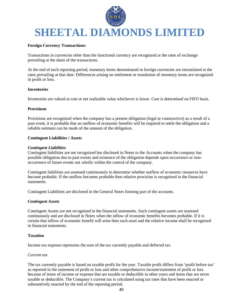

# **Foreign Currency Transactions:**

Transactions in currencies other than the functional currency are recognized at the rates of exchange prevailing at the dates of the transactions.

At the end of each reporting period, monetary items denominated in foreign currencies are retranslated at the rates prevailing at that date. Differences arising on settlement or translation of monetary items are recognized in profit or loss.

# **Inventories**

Inventories are valued at cost or net realizable value whichever is lower. Cost is determined on FIFO basis.

# **Provisions**

Provisions are recognized when the company has a present obligation (legal or constructive) as a result of a past event, it is probable that an outflow of economic benefits will be required to settle the obligation and a reliable estimate can be made of the amount of the obligation.

# **Contingent Liabilities / Assets**

# *Contingent Liabilities*

Contingent liabilities are not recognized but disclosed in Notes to the Accounts when the company has possible obligation due to past events and existence of the obligation depends upon occurrence or nonoccurrence of future events not wholly within the control of the company.

Contingent liabilities are assessed continuously to determine whether outflow of economic resources have become probable. If the outflow becomes probable then relative provision is recognized in the financial statements.

Contingent Liabilities are disclosed in the General Notes forming part of the accounts.

# *Contingent Assets*

Contingent Assets are not recognised in the financial statements. Such contingent assets are assessed continuously and are disclosed in Notes when the inflow of economic benefits becomes probable. If it is certain that inflow of economic benefit will arise then such asset and the relative income shall be recognised in financial statements.

# **Taxation**

Income tax expense represents the sum of the tax currently payable and deferred tax.

# *Current tax*

The tax currently payable is based on taxable profit for the year. Taxable profit differs from 'profit before tax' as reported in the statement of profit or loss and other comprehensive income/statement of profit or loss because of items of income or expense that are taxable or deductible in other years and items that are never taxable or deductible. The Company's current tax is calculated using tax rates that have been enacted or substantively enacted by the end of the reporting period.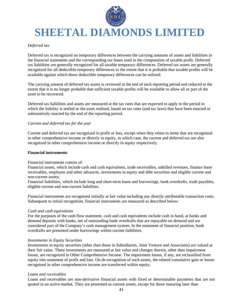

# *Deferred tax*

Deferred tax is recognized on temporary differences between the carrying amounts of assets and liabilities in the financial statements and the corresponding tax bases used in the computation of taxable profit. Deferred tax liabilities are generally recognized for all taxable temporary differences. Deferred tax assets are generally recognized for all deductible temporary differences to the extent that it is probable that taxable profits will be available against which those deductible temporary differences can be utilized.

The carrying amount of deferred tax assets is reviewed at the end of each reporting period and reduced to the extent that it is no longer probable that sufficient taxable profits will be available to allow all or part of the asset to be recovered.

Deferred tax liabilities and assets are measured at the tax rates that are expected to apply in the period in which the liability is settled or the asset realised, based on tax rates (and tax laws) that have been enacted or substantively enacted by the end of the reporting period.

# *Current and deferred tax for the year*

Current and deferred tax are recognized in profit or loss, except when they relate to items that are recognized in other comprehensive income or directly in equity, in which case, the current and deferred tax are also recognized in other comprehensive income or directly in equity respectively.

# **Financial instruments**

# Financial instruments consist of:

Financial assets, which include cash and cash equivalents, trade receivables, unbilled revenues, finance lease receivables, employee and other advances, investments in equity and debt securities and eligible current and non-current assets;

Financial liabilities, which include long and short-term loans and borrowings, bank overdrafts, trade payables, eligible current and non-current liabilities.

Financial instruments are recognized initially at fair value including any directly attributable transaction costs. Subsequent to initial recognition, financial instruments are measured as described below:

# *Cash and cash equivalents*

For the purposes of the cash flow statement, cash and cash equivalents include cash in hand, at banks and demand deposits with banks, net of outstanding bank overdrafts that are repayable on demand and are considered part of the Company's cash management system. In the statement of financial position, bank overdrafts are presented under borrowings within current liabilities.

# *Investments in Equity Securities*

Investments in equity securities (other than those in Subsidiaries, Joint Venture and Associates) are valued at their fair value. These investments are measured at fair value and changes therein, other than impairment losses, are recognized in Other Comprehensive Income. The impairment losses, if any, are reclassified from equity into statement of profit and loss. On de-recognition of such assets, the related cumulative gain or losses recognised in other comprehensive income are transferred within equity.

# *Loans and receivables*

Loans and receivables are non-derivative financial assets with fixed or determinable payments that are not quoted in an active market. They are presented as current assets, except for those maturing later than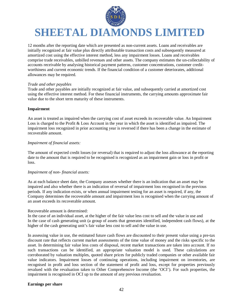

12 months after the reporting date which are presented as non-current assets. Loans and receivables are initially recognized at fair value plus directly attributable transaction costs and subsequently measured at amortized cost using the effective interest method, less any impairment losses. Loans and receivables comprise trade receivables, unbilled revenues and other assets. The company estimates the un-collectability of accounts receivable by analysing historical payment patterns, customer concentrations, customer creditworthiness and current economic trends. If the financial condition of a customer deteriorates, additional allowances may be required.

# *Trade and other payables*

Trade and other payables are initially recognized at fair value, and subsequently carried at amortized cost using the effective interest method. For these financial instruments, the carrying amounts approximate fair value due to the short term maturity of these instruments.

# **Impairment**

An asset is treated as impaired when the carrying cost of asset exceeds its recoverable value. An Impairment Loss is charged to the Profit & Loss Account in the year in which the asset is identified as impaired. The impairment loss recognized in prior accounting year is reversed if there has been a change in the estimate of recoverable amount.

# *Impairment of financial assets:*

The amount of expected credit losses (or reversal) that is required to adjust the loss allowance at the reporting date to the amount that is required to be recognised is recognized as an impairment gain or loss in profit or loss.

# *Impairment of non- financial assets:*

As at each balance sheet date, the Company assesses whether there is an indication that an asset may be impaired and also whether there is an indication of reversal of impairment loss recognised in the previous periods. If any indication exists, or when annual impairment testing for an asset is required, if any, the Company determines the recoverable amount and impairment loss is recognised when the carrying amount of an asset exceeds its recoverable amount.

# Recoverable amount is determined:

In the case of an individual asset, at the higher of the fair value less cost to sell and the value in use and In the case of cash generating unit (a group of assets that generates identified, independent cash flows), at the higher of the cash generating unit's fair value less cost to sell and the value in use.

In assessing value in use, the estimated future cash flows are discounted to their present value using a pre-tax discount rate that reflects current market assessments of the time value of money and the risks specific to the asset. In determining fair value less costs of disposal, recent market transactions are taken into account. If no such transactions can be identified, an appropriate valuation model is used. These calculations are corroborated by valuation multiples, quoted share prices for publicly traded companies or other available fair value indicators. Impairment losses of continuing operations, including impairment on inventories, are recognised in profit and loss section of the statement of profit and loss, except for properties previously revalued with the revaluation taken to Other Comprehensive Income (the 'OCI'). For such properties, the impairment is recognised in OCI up to the amount of any previous revaluation.

# **Earnings per share**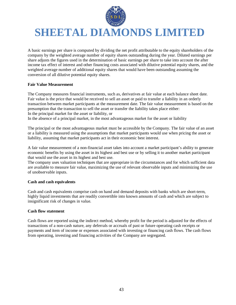

A basic earnings per share is computed by dividing the net profit attributable to the equity shareholders of the company by the weighted average number of equity shares outstanding during the year. Diluted earnings per share adjusts the figures used in the determination of basic earnings per share to take into account the after income tax effect of interest and other financing costs associated with dilutive potential equity shares, and the weighted average number of additional equity shares that would have been outstanding assuming the conversion of all dilutive potential equity shares.

# **Fair Value Measurement**

The Company measures financial instruments, such as, derivatives at fair value at each balance sheet date. Fair value is the price that would be received to sell an asset or paid to transfer a liability in an orderly transaction between market participants at the measurement date. The fair value measurement is based on the presumption that the transaction to sell the asset or transfer the liability takes place either: In the principal market for the asset or liability, or In the absence of a principal market, in the most advantageous market for the asset or liability

The principal or the most advantageous market must be accessible by the Company. The fair value of an asset or a liability is measured using the assumptions that market participants would use when pricing the asset or liability, assuming that market participants act in their economic best interest.

A fair value measurement of a non-financial asset takes into account a market participant's ability to generate economic benefits by using the asset in its highest and best use or by selling it to another market participant that would use the asset in its highest and best use.

The company uses valuation techniques that are appropriate in the circumstances and for which sufficient data are available to measure fair value, maximizing the use of relevant observable inputs and minimizing the use of unobservable inputs.

# **Cash and cash equivalents**

Cash and cash equivalents comprise cash on hand and demand deposits with banks which are short-term, highly liquid investments that are readily convertible into known amounts of cash and which are subject to insignificant risk of changes in value.

# **Cash flow statement**

Cash flows are reported using the indirect method, whereby profit for the period is adjusted for the effects of transactions of a non-cash nature, any deferrals or accruals of past or future operating cash receipts or payments and item of income or expenses associated with investing or financing cash flows. The cash flows from operating, investing and financing activities of the Company are segregated.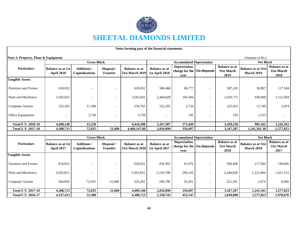

| Notes forming part of the financial statements |                                        |                                              |                               |                                         |                                        |                                                            |                          |                                            |                                                |                                            |
|------------------------------------------------|----------------------------------------|----------------------------------------------|-------------------------------|-----------------------------------------|----------------------------------------|------------------------------------------------------------|--------------------------|--------------------------------------------|------------------------------------------------|--------------------------------------------|
| Note 3: Property, Plant & Equipment            |                                        |                                              |                               |                                         |                                        |                                                            |                          |                                            | (Amount in Rs.)                                |                                            |
|                                                |                                        | <b>Gross Block</b>                           |                               |                                         |                                        | <b>Accumulated Depreciation</b>                            |                          |                                            | <b>Net Block</b>                               |                                            |
| <b>Particulars</b>                             | <b>Balance as at 1st</b><br>April 2018 | <b>Additions</b> /<br><b>Capitalisations</b> | Disposal /<br><b>Transfer</b> | <b>Balance</b> as at<br>31st March 2019 | <b>Balance as at</b><br>1st April 2018 | <b>Depreciation</b><br>charge for the On disposals<br>year |                          | <b>Balance as at</b><br>31st March<br>2019 | <b>Balance as at 31st</b><br><b>March 2019</b> | <b>Balance as at</b><br>31st March<br>2018 |
| <b>Tangible Assets</b>                         |                                        |                                              |                               |                                         |                                        |                                                            |                          |                                            |                                                |                                            |
| Furniture and Fixture                          | 618,052                                |                                              |                               | 618,052                                 | 500,468                                | 86,777                                                     |                          | 587,245                                    | 30,807                                         | 117,584                                    |
| Plant and Machinery                            | 3,565,831                              |                                              |                               | 3,565,831                               | 2,444,828                              | 181,944                                                    |                          | 2,626,771                                  | 939,060                                        | 1,121,004                                  |
| <b>Computer System</b>                         | 225,265                                | 11,500                                       |                               | 236,765                                 | 222,291                                | 2,734                                                      |                          | 225,025                                    | 11,740                                         | 2,974                                      |
| Office Equipments                              | $\blacksquare$                         | 3,750                                        |                               | 3,750                                   |                                        | 195                                                        |                          | 195                                        | 3,555                                          |                                            |
| <b>Total F.Y. 2018-19</b>                      | 4,409,148                              | 15,250                                       |                               | 4,424,398                               | 3,167,587                              | 271,649                                                    |                          | 3,439,236                                  | 985,162                                        | 1,241,561                                  |
| <b>Total F.Y. 2017-18</b>                      | 4,388,713                              | 72,035                                       | 51,600                        | 4,409,147.88                            | 2,810,890                              | 356,697                                                    |                          | 3,167,587                                  | 1,241,561.38                                   | 1,577,823                                  |
|                                                |                                        |                                              |                               |                                         |                                        |                                                            |                          |                                            |                                                |                                            |
|                                                |                                        | <b>Gross Block</b>                           |                               |                                         |                                        | <b>Accumulated Depreciation</b>                            |                          |                                            | <b>Net Block</b>                               |                                            |
| <b>Particulars</b>                             | <b>Balance as at 1st</b><br>April 2017 | <b>Additions</b> /<br><b>Capitalisations</b> | Disposal /<br><b>Transfer</b> | <b>Balance as at</b><br>31st March 2018 | <b>Balance as at</b><br>1st April 2017 | <b>Depreciation</b><br>charge for the On disposals<br>vear |                          | <b>Balance</b> as at<br>31st March<br>2018 | <b>Balance as at 31st</b><br><b>March 2018</b> | <b>Balance as at</b><br>31st March<br>2017 |
| <b>Tangible Assets</b>                         |                                        |                                              |                               |                                         |                                        |                                                            |                          |                                            |                                                |                                            |
| Furniture and Fixture                          | 618,052                                |                                              | $\overline{a}$                | 618,052                                 | 459,392                                | 41,076                                                     |                          | 500,468                                    | 117,584                                        | 158,660                                    |
| Plant and Machinery                            | 3,565,831                              |                                              | $\blacksquare$                | 3,565,831                               | 2,154,708                              | 290,120                                                    |                          | 2,444,828                                  | 1,121,004                                      | 1,411,123                                  |
| <b>Computer System</b>                         | 204,830                                | 72,035                                       | 51,600                        | 225,265                                 | 196,790                                | 25,501                                                     | $\overline{\phantom{a}}$ | 222,291                                    | 2.974                                          | 8,040                                      |
| <b>Total F.Y. 2017-18</b>                      | 4,388,713                              | 72,035                                       | 51,600                        | 4,409,148                               | 2,810,890                              | 356,697                                                    |                          | 3,167,587                                  | 1,241,561                                      | 1,577,823                                  |
| <b>Total F.Y. 2016-17</b>                      | 4,337,413                              | 51,300                                       | $\blacksquare$                | 4,388,713                               | 2,358,743                              | 452,147                                                    |                          | 2,810,890                                  | 1,577,823                                      | 1,978,670                                  |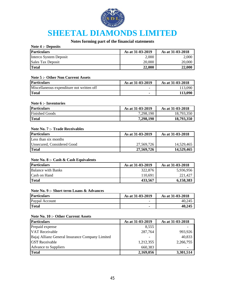

# **Notes forming part of the financial statements**

| <b>Note 4 :- Deposits</b> |                  |                  |  |  |  |
|---------------------------|------------------|------------------|--|--|--|
| <b>Particulars</b>        | As at 31-03-2019 | As at 31-03-2018 |  |  |  |
| Interco System Deposit    | 2,000            | 2,000            |  |  |  |
| Sales Tax Deposit         | 20,000           | 20,000           |  |  |  |
| <b>Total</b>              | 22,000           | 22,000           |  |  |  |

# **Note 5 :- Other Non Current Assets**

| <b>Particulars</b>                        | As at 31-03-2019 | As at 31-03-2018 |
|-------------------------------------------|------------------|------------------|
| Miscellaneous expenditure not written off | -                | 13.090           |
| <b>Total</b>                              |                  | 113.090          |

### **Note 6 :- Inventories**

| <b>Particulars</b>    | As at 31-03-2019 | As at 31-03-2018 |
|-----------------------|------------------|------------------|
| <b>Finished Goods</b> | 7,298,190        | 18,793,350       |
| <b>Total</b>          | 7,298,190        | 18,793,350       |

### **Note No. 7 :- Trade Receivables**

| <b>Particulars</b>         | As at 31-03-2019 | As at 31-03-2018 |  |
|----------------------------|------------------|------------------|--|
| Less than six months       |                  |                  |  |
| Unsecured. Considered Good | 27.569.726       | 14.529.465       |  |
| <b>Total</b>               | 27,569,726       | 14,529,465       |  |

# **Note No. 8 :- Cash & Cash Equivalents**

| <b>Particulars</b>        | As at 31-03-2019 | As at 31-03-2018 |
|---------------------------|------------------|------------------|
| <b>Balance with Banks</b> | 322,876          | 5,936,956        |
| Cash on Hand              | 110.691          | 221.427          |
| <b>Total</b>              | 433,567          | 6,158,383        |

# **Note No. 9 :- Short term Loans & Advances**

| <b>Particulars</b> | As at 31-03-2019 | As at 31-03-2018 |
|--------------------|------------------|------------------|
| Paypal Account     | -                | 40.245           |
| <b>Total</b>       | ۰                | 40,245           |

# **Note No. 10 :- Other Current Assets**

| <b>Particulars</b>                              | As at 31-03-2019 | As at 31-03-2018 |
|-------------------------------------------------|------------------|------------------|
| Prepaid expense                                 | 8,555            |                  |
| <b>VAT</b> Receivable                           | 287,764          | 993,926          |
| Bajaj Allianz General Insurance Company Limited |                  | 40,833           |
| <b>IGST</b> Receivable                          | 1,212,355        | 2,266,755        |
| <b>Advance to Suppliers</b>                     | 660,383          |                  |
| <b>Total</b>                                    | 2,169,056        | 3,301,514        |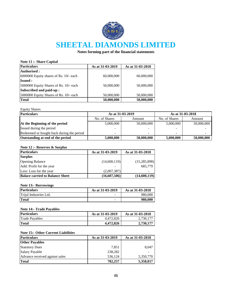

# **Notes forming part of the financial statements**

# **Note 11 :- Share Capital**

| <b>Particulars</b>                     | As at 31-03-2019 | As at 31-03-2018 |
|----------------------------------------|------------------|------------------|
| Authorised:                            |                  |                  |
| 6000000 Equity shares of Rs. 10/- each | 60,000,000       | 60,000,000       |
| <b>Issued:</b>                         |                  |                  |
| 5000000 Equity Shares of Rs. 10/- each | 50,000,000       | 50,000,000       |
| Subscribed and paid-up:                |                  |                  |
| 5000000 Equity Shares of Rs. 10/- each | 50,000,000       | 50,000,000       |
| <b>Total</b>                           | 50,000,000       | 50,000,000       |

### Equity Shares

| <b>Particulars</b>                        | As at 31-03-2019 |            | As at 31-03-2018 |            |
|-------------------------------------------|------------------|------------|------------------|------------|
|                                           | No. of Shares    | Amount     | No. of Shares    | Amount     |
| At the Beginning of the period            | 5,000,000        | 50,000,000 | 5,000,000        | 50,000,000 |
| Issued during the period                  |                  |            |                  |            |
| Redeemed or bought back during the period |                  |            |                  |            |
| Outstanding at end of the period          | 5,000,000        | 50,000,000 | 5,000,000        | 50,000,000 |

# **Note 12 :- Reserves & Surplus**

| <b>Particulars</b>                     | As at 31-03-2019 | As at 31-03-2018 |
|----------------------------------------|------------------|------------------|
| <b>Surplus</b>                         |                  |                  |
| <b>Opening Balance</b>                 | (14,600,119)     | (15, 285, 898)   |
| Add: Profit for the year               |                  | 685,779          |
| Less: Loss for the year                | (2,007,387)      |                  |
| <b>Balace carried to Balance Sheet</b> | (16,607,506)     | (14,600,119)     |

### **Note 13:- Borrowings**

| <b>Particulars</b>     | As at 31-03-2019 | As at 31-03-2018 |
|------------------------|------------------|------------------|
| Triial Industries Ltd. |                  | 980,000          |
| <b>Total</b>           | -                | 980,000          |

### **Note 14:- Trade Payables**

| <b>Particulars</b>    | As at 31-03-2019 | As at 31-03-2018 |
|-----------------------|------------------|------------------|
| <b>Trade Payables</b> | 4.472.826        | 2.730.177        |
| <b>Total</b>          | 4.472.826        | 2,730,177        |

# **Note 15:- Other Current Liabilities**

| <b>Particulars</b>             | As at 31-03-2019 | As at 31-03-2018 |
|--------------------------------|------------------|------------------|
| <b>Other Payables</b>          |                  |                  |
| <b>Statutory Dues</b>          | 7.851            | 8,047            |
| <b>Salary Payable</b>          | 238,282          |                  |
| Advance received against sales | 536,124          | 5,350,770        |
| Total                          | 782,257          | 5,358,817        |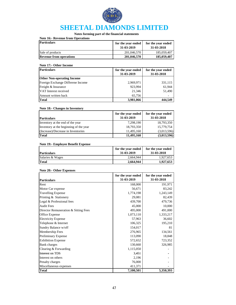

**Notes forming part of the financial statements**

### **Note 16:- Revenue from Operations**

| <b>Particulars</b>             | for the year ended<br>31-03-2019 | for the year ended<br>31-03-2018 |
|--------------------------------|----------------------------------|----------------------------------|
| Sale of products               | 201,046,570                      | 185,059,407                      |
| <b>Revenue from operations</b> | 201,046,570                      | 185,059,407                      |

#### **Note 17:- Other Income**

| <b>Particulars</b>                | for the year ended<br>31-03-2019 | for the year ended<br>31-03-2018 |
|-----------------------------------|----------------------------------|----------------------------------|
| <b>Other Non-operating Income</b> |                                  |                                  |
| Foreign Exchange Differene Income | 2,969,971                        | 331,115                          |
| Freight & Insurance               | 923,994                          | 61,944                           |
| VAT Interest received             | 21,346                           | 51,490                           |
| Amount written back               | 65,756                           |                                  |
| <b>Total</b>                      | 3,981,066                        | 444.549                          |

# **Note 18:- Changes in Inventory**

| <b>Particulars</b>                     | for the year ended<br>31-03-2019 | for the year ended<br>31-03-2018 |
|----------------------------------------|----------------------------------|----------------------------------|
| Inventory at the end of the year       | 7,298,190                        | 18,793,350                       |
| Inventory at the beginning of the year | 18,793,350                       | 15,779,754                       |
| (Increase)/Decrease in Inventories     | 11,495,160                       | (3,013,596)                      |
| Total                                  | 11,495,160                       | (3,013,596)                      |

### **Note 19:- Employee Benefit Expense**

| <b>Particulars</b> | for the year ended<br>31-03-2019 | for the year ended<br>31-03-2018 |
|--------------------|----------------------------------|----------------------------------|
| Salaries & Wages   | 2.664.944                        | 1,927,653                        |
| Total              | 2,664,944                        | 1,927,653                        |

### **Note 20:- Other Expenses**

|                                      | for the year ended | for the year ended |
|--------------------------------------|--------------------|--------------------|
| <b>Particulars</b>                   | 31-03-2019         | 31-03-2018         |
| Rent                                 | 168,000            | 191,971            |
| Motor Car expense                    | 56,671             | 83,242             |
| <b>Travelling Expense</b>            | 1,774,198          | 1,243,149          |
| Printing & Stationery                | 29,081             | 82,439             |
| Legal & Professional fees            | 439,700            | 479,736            |
| <b>Audit Fees</b>                    | 45,000             | 10,000             |
| Director Remuneration & Sitting Fees | 495,000            | 491,000            |
| Office Expense                       | 1,073,110          | 1,333,217          |
| <b>Electricity Expense</b>           | 57,963             | 36,602             |
| Telephone & Internet                 | 106,325            | 195,210            |
| Sundry Balance w/off                 | 154,017            | 81                 |
| Membership Fees                      | 276,965            | 134,561            |
| Preliminary Expense                  | 113,090            | 18,848             |
| <b>Exhibition Expense</b>            | 572,652            | 723,352            |
| Bank charges                         | 130,660            | 326,985            |
| Clearing & Forwarding                | 1,115,050          |                    |
| Interest on TDS                      | 3,451              |                    |
| Interest on others                   | 2,196              |                    |
| Penalty charges                      | 76,000             |                    |
| Miscellaneous expenses               | 411,371            |                    |
| <b>Total</b>                         | 7,100,501          | 5,350,393          |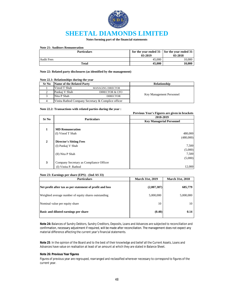

**Notes forming part of the financial statements**

| <b>Note 21: Auditors Remuneration</b> |                                                          |         |
|---------------------------------------|----------------------------------------------------------|---------|
| <b>Particulars</b>                    | for the year ended 31- for the year ended 31-<br>03-2019 | 03-2018 |
| <b>Audit Fees</b>                     | 45,000                                                   | 10.000  |
| <b>Total</b>                          | 45,000                                                   | 10.000  |

**Note 22: Related party disclosures (as identified by the management)**

| Note 22.1: Relationships during the year |                           |                                                    |                          |  |  |
|------------------------------------------|---------------------------|----------------------------------------------------|--------------------------|--|--|
| Sr No                                    | Name of the Related Party |                                                    | <b>Relationship</b>      |  |  |
|                                          | Vinod T Shah              | <b>MANAGING DIRECTOR</b>                           |                          |  |  |
|                                          | Pankaj V Shah             | DIRECTOR & CFO                                     |                          |  |  |
|                                          | Nita P Shah               | <b>DIRECTOR</b>                                    | Key Management Personnel |  |  |
|                                          |                           | Vinita Rathod Company Secretary & Complice officer |                          |  |  |

# **Note 22.2: Transactions with related parties during the year :**

|              |                                         | Previous Year's Figures are given in brackets |  |  |
|--------------|-----------------------------------------|-----------------------------------------------|--|--|
|              |                                         | 2018-2019                                     |  |  |
| Sr No        | <b>Particulars</b>                      | <b>Key Managerial Personnel</b>               |  |  |
|              |                                         |                                               |  |  |
| 1            | <b>MD</b> Remuneration                  |                                               |  |  |
|              | (I) Vinod T Shah                        | 480,000                                       |  |  |
|              |                                         | (480,000)                                     |  |  |
| $\mathbf{2}$ | <b>Director's Sitting Fees</b>          |                                               |  |  |
|              | (I) Pankaj V Shah                       | 7,500                                         |  |  |
|              |                                         | (5,000)                                       |  |  |
|              | (II) Nita P Shah                        | 7,500                                         |  |  |
|              |                                         | (5,000)                                       |  |  |
| 3            | Company Secretary as Compliance Officer |                                               |  |  |
|              | (I) Vinita P. Rathod                    | 12,000                                        |  |  |

#### **Note 23: Earnings per share (EPS) - (Ind AS 33)**

| <b>Particulars</b>                                       | <b>March 31st, 2019</b> | <b>March 31st, 2018</b> |
|----------------------------------------------------------|-------------------------|-------------------------|
| Net profit after tax as per statement of profit and loss | (2,007,387)             | 685,779                 |
| Weighted average number of equity shares outstanding     | 5,000,000               | 5,000,000               |
| Nominal value per equity share                           | 10                      | 10                      |
| <b>Basic and diluted earnings per share</b>              | (0.40)                  | 0.14                    |

**Note 24:** Balances of Sundry Debtors, Sundry Creditors, Deposits, Loans and Advances are subjected to reconciliation and confirmation, necessary adjustment if required, will be made after reconciliation. The management does not expect any material difference affecting the current year's financial statements.

**Note 25**: In the opinion of the Board and to the best of their knowledge and belief all the Current Assets, Loans and Advances have value on realisation at least of an amount at which they are stated in Balance Sheet.

#### **Note 26: Previous Year figures**

Figures of previous year are regrouped, rearranged and reclassified wherever necessary to correspond to figures of the current year.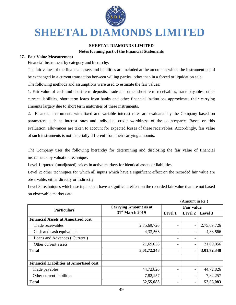

# **SHEETAL DIAMONDS LIMITED Notes forming part of the Financial Statements**

# **27. Fair Value Measurement**

Financial Instrument by category and hierarchy:

The fair values of the financial assets and liabilities are included at the amount at which the instrument could be exchanged in a current transaction between willing parties, other than in a forced or liquidation sale.

The following methods and assumptions were used to estimate the fair values:

1. Fair value of cash and short-term deposits, trade and other short term receivables, trade payables, other current liabilities, short term loans from banks and other financial institutions approximate their carrying amounts largely due to short term maturities of these instruments.

2. Financial instruments with fixed and variable interest rates are evaluated by the Company based on parameters such as interest rates and individual credit worthiness of the counterparty. Based on this evaluation, allowances are taken to account for expected losses of these receivables. Accordingly, fair value of such instruments is not materially different from their carrying amounts.

The Company uses the following hierarchy for determining and disclosing the fair value of financial instruments by valuation technique:

Level 1: quoted (unadjusted) prices in active markets for identical assets or liabilities.

Level 2: other techniques for which all inputs which have a significant effect on the recorded fair value are observable, either directly or indirectly.

Level 3: techniques which use inputs that have a significant effect on the recorded fair value that are not based on observable market data

|                                                |                              |                          | $\Gamma$       |                          |
|------------------------------------------------|------------------------------|--------------------------|----------------|--------------------------|
| <b>Particulars</b>                             | <b>Carrying Amount as at</b> | <b>Fair value</b>        |                |                          |
|                                                | 31 <sup>st</sup> March 2019  | Level 1                  | <b>Level 2</b> | Level 3                  |
| <b>Financial Assets at Amortised cost</b>      |                              |                          |                |                          |
| Trade receivables                              | 2,75,69,726                  | -                        |                | 2,75,69,726              |
| Cash and cash equivalents                      | 4,33,566                     |                          |                | 4,33,566                 |
| Loans and Advances (Current)                   | -                            | -                        |                | $\overline{\phantom{a}}$ |
| Other current assets                           | 21,69,056                    | -                        |                | 21,69,056                |
| <b>Total</b>                                   | 3,01,72,348                  | ۰.                       | Ξ.             | 3,01,72,348              |
| <b>Financial Liabilities at Amortised cost</b> |                              |                          |                |                          |
| Trade payables                                 | 44,72,826                    | -                        | Ξ.             | 44,72,826                |
| Other current liabilities                      | 7,82,257                     | $\overline{\phantom{0}}$ |                | 7,82,257                 |
| <b>Total</b>                                   | 52,55,083                    | ۰                        | ۰              | 52,55,083                |

 $(4$  mount in Rs.)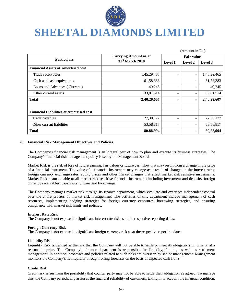

|                                                |                              |                          | (Amount in Rs.) |             |
|------------------------------------------------|------------------------------|--------------------------|-----------------|-------------|
| <b>Particulars</b>                             | <b>Carrying Amount as at</b> | <b>Fair value</b>        |                 |             |
|                                                | 31 <sup>st</sup> March 2018  | <b>Level 1</b>           | Level 2         | Level 3     |
| <b>Financial Assets at Amortised cost</b>      |                              |                          |                 |             |
| Trade receivables                              | 1,45,29,465                  | ۰                        | $\blacksquare$  | 1,45,29,465 |
| Cash and cash equivalents                      | 61,58,383                    | $\overline{\phantom{a}}$ | ۰.              | 61,58,383   |
| Loans and Advances (Current)                   | 40,245                       | -                        | -               | 40,245      |
| Other current assets                           | 33,01,514                    |                          | Ξ.              | 33,01,514   |
| <b>Total</b>                                   | 2,40,29,607                  | ۰                        | ٠               | 2,40,29,607 |
|                                                |                              |                          |                 |             |
| <b>Financial Liabilities at Amortised cost</b> |                              |                          |                 |             |
| Trade payables                                 | 27, 30, 177                  | ٠                        | ۰               | 27,30,177   |
| Other current liabilities                      | 53,58,817                    | $\overline{\phantom{0}}$ | ۰.              | 53,58,817   |
| <b>Total</b>                                   | 80,88,994                    | ٠                        | ۰               | 80,88,994   |

### **28. Financial Risk Management Objectives and Policies**

The Company's financial risk management is an integral part of how to plan and execute its business strategies. The Company's financial risk management policy is set by the Management Board.

Market Risk is the risk of loss of future earning, fair values or future cash flow that may result from a change in the price of a financial instrument. The value of a financial instrument may change as a result of changes in the interest rates, foreign currency exchange rates, equity prices and other market changes that affect market risk sensitive instruments. Market Risk is attributable to all market risk sensitive financial instruments including investment and deposits, foreign currency receivables, payables and loans and borrowings.

The Company manages market risk through its finance department, which evaluate and exercises independent control over the entire process of market risk management. The activities of this department include management of cash resources, implementing hedging strategies for foreign currency exposures, borrowing strategies, and ensuring compliance with market risk limits and policies.

### **Interest Rate Risk**

The Company is not exposed to significant interest rate risk as at the respective reporting dates.

### **Foreign Currency Risk**

The Company is not exposed to significant foreign currency risk as at the respective reporting dates.

### **Liquidity Risk**

Liquidity Risk is defined as the risk that the Company will not be able to settle or meet its obligations on time or at a reasonable price. The Company's finance department is responsible for liquidity, funding as well as settlement management. In addition, processes and policies related to such risks are overseen by senior management. Management monitors the Company's net liquidity through rolling forecasts on the basis of expected cash flows.

# **Credit Risk**

Credit risk arises from the possibility that counter party may not be able to settle their obligation as agreed. To manage this, the Company periodically assesses the financial reliability of customers, taking in to account the financial condition,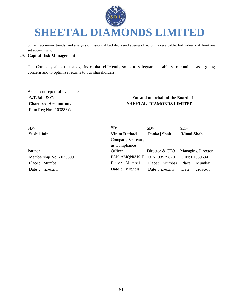

current economic trends, and analysis of historical bad debts and ageing of accounts receivable. Individual risk limit are set accordingly.

# **29. Capital Risk Management**

The Company aims to manage its capital efficiently so as to safeguard its ability to continue as a going concern and to optimise returns to our shareholders.

As per our report of even date Firm Reg No:- 103886W

# **A.T.Jain & Co. For and on behalf of the Board of Chartered Accountants SHEETAL DIAMONDS LIMITED**

| $SD/-$                  | $SD/-$                        | $SD/-$             | $SD/-$                   |  |
|-------------------------|-------------------------------|--------------------|--------------------------|--|
| <b>Sushil Jain</b>      | <b>Vinita Rathod</b>          | Pankaj Shah        | <b>Vinod Shah</b>        |  |
|                         | <b>Company Secretary</b>      |                    |                          |  |
|                         | as Compliance                 |                    |                          |  |
| Partner                 | Officer                       | Director & CFO     | <b>Managing Director</b> |  |
| Membership No: - 033809 | PAN: AMQPR3191R DIN: 03579870 |                    | DIN: 01859634            |  |
| Place: Mumbai           | Place: Mumbai                 | Place: Mumbai      | Place: Mumbai            |  |
| Date:<br>22/05/2019     | Date: $22/05/2019$            | Date: $22/05/2019$ | Date: $22/05/2019$       |  |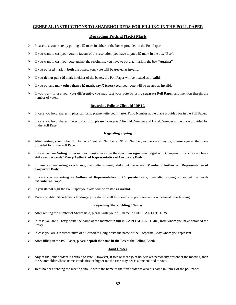# **GENERAL INSTRUCTIONS TO SHAREHOLDERS FOR FILLING IN THE POLL PAPER**

### **Regarding Putting (Tick) Mark**

- Please cast your vote by putting a  $\boxtimes$  mark in either of the boxes provided in the Poll Paper.
- If you want to cast your vote in favour of the resolution, you have to put a  $\boxtimes$  mark in the box "**For**".
- $\triangleright$  If you want to cast your vote against the resolution, you have to put a  $\boxtimes$  mark in the box "**Against**".
- $\triangleright$  If you put a  $\boxtimes$  mark in **both** the boxes, your vote will be treated as **invalid**.
- $\triangleright$  If you **do not** put a  $\boxtimes$  mark in either of the boxes, the Poll Paper will be treated as **invalid**.
- $\triangleright$  If you put any mark **other than a**  $\mathbb{Z}$  mark, say **X** (cross) etc., your vote will be treated as **invalid**.
- If you want to use your **vote differently**, you may cast your vote by using **separate Poll Paper** and mention therein the number of votes.

#### **Regarding Folio or Client Id / DP Id.**

- $\triangleright$  In case you hold Shares in physical form, please write your master Folio Number at the place provided for in the Poll Paper.
- $\triangleright$  In case you hold Shares in electronic form, please write your Client Id. Number and DP Id. Number at the place provided for in the Poll Paper.

### **Regarding Signing**

- After writing your Folio Number or Client Id. Number / DP Id. Number, as the case may be, **please** sign at the place provided for in the Poll Paper.
- In case you are **Voting in person**, you must sign as per the **specimen signature** lodged with Company. In such case please strike out the words "**Proxy/Authorized Representative of Corporate Body**".
- In case you are **voting as a Proxy,** then, after signing, strike out the words "**Member / Authorized Representative of Corporate Body**".
- In case you are **voting as Authorized Representative of Corporate Body**, then after signing, strike out the words "**Members/Proxy**".
- If you **do not sign** the Poll Paper your vote will be treated as **invalid.**
- $\triangleright$  Voting Rights : Shareholders holding equity shares shall have one vote per share as shown against their holding.

#### **Regarding Shareholding / Names**

- After writing the number of Shares held, please write your full name in **CAPITAL LETTERS.**
- $\triangleright$  In case you are a Proxy, write the name of the member in full in **CAPITAL LETTERS**, from whom you have obtained the Proxy.
- In case you are a representative of a Corporate Body, write the name of the Corporate Body whom you represent.
- After filling in the Poll Paper, please **deposit** the same **in the Box** at the Polling Booth.

#### **Joint Holder**

- Any of the joint holders is entitled to vote. However, if two or more joint holders are personally present at the meeting, then the Shareholder whose name stands first or higher (as the case may be) is alone entitled to vote.
- $\triangleright$  Joint holder attending the meeting should write the name of the first holder as also his name in item 1 of the poll paper.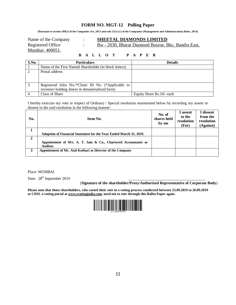# **FORM NO. MGT-12 Polling Paper**

**[Pursuant to section 109(5) of the Companies Act, 2013 and rule 21(1) (c) of the Companies (Management and Administration) Rules, 2014]**

Mumbai- 400051.

# Name of the Company : **SHEETAL DIAMONDS LIMITED**

Registered Office : Bw - 2030, Bharat Diamond Bourse, Bkc, Bandra East,

# **B A L L O T P A P E R**

| S.No. | <b>Particulars</b>                                                                                      | <b>Details</b>             |
|-------|---------------------------------------------------------------------------------------------------------|----------------------------|
|       | Name of the First Named Shareholder (in block letters)                                                  |                            |
|       | Postal address                                                                                          |                            |
|       | Registered folio No./*Client ID No. (*Applicable to<br>investors holding shares in dematerialized form) |                            |
|       | Class of Share                                                                                          | Equity Share Rs. 10/- each |

I hereby exercise my vote in respect of Ordinary / Special resolution enumerated below by recording my assent or dissent to the said resolution in the following manner:

| No.            | Item No.                                                                   | No. of<br>shares held<br>by me | I assent<br>to the<br>resolution<br>(For) | I dissent<br>from the<br>resolution<br>(Against) |
|----------------|----------------------------------------------------------------------------|--------------------------------|-------------------------------------------|--------------------------------------------------|
|                |                                                                            |                                |                                           |                                                  |
|                | Adoption of Financial Statement for the Year Ended March 31, 2019.         |                                |                                           |                                                  |
| $\overline{2}$ | Appointment of M/s. A. T. Jain & Co., Chartered Accountants as<br>Auditor. |                                |                                           |                                                  |
| 3              | Appointment of Mr. Atul Kothari as Director of the Company                 |                                |                                           |                                                  |

Place: MUMBAI

Date: 28 th September 2019 \_\_\_\_\_\_\_\_\_\_\_\_\_\_\_\_\_\_\_\_\_\_\_\_\_\_\_\_\_\_\_\_\_\_\_\_\_\_\_\_

(**Signature of the shareholder/Proxy/Authorized Representative of Corporate Body**)

**Please note that those shareholders, who casted their vote in e-voting process conducted between 23.09.2019 to 26.09.2019 at CDSL e-voting portal at www.evotingindia.com, need not to vote through this Ballot Paper again.** 

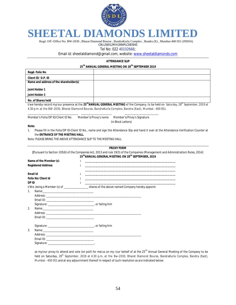

# **HEETAL DIAMONDS LIN**

Regd. Off :Office No. BW-2030 , Bharat Diamond Bourse , BandraKurla Complex , Bandra (E) , Mumbai-400 051 (INDIA)

CIN:L56912MH1994PLC083945 Tel No: 022 40102666;

Email id: sheetaldiamond@gmail.com, website: www.sheetaldiamonds.com

**ATTENDANCE SLIP**

### **25TH ANNUAL GENERAL MEETING ON 28TH SEPTEMBER 2019**

| Regd. Folio No                         |  |
|----------------------------------------|--|
| Client ID/D.P. ID                      |  |
| Name and address of the shareholder(s) |  |
| Joint Holder 1                         |  |
| Joint Holder 2                         |  |
| No. of Shares held                     |  |

I/we hereby record my/our presence at the 25<sup>TH</sup>ANNUAL GENERAL MEETING of the Company, to be held on Saturday, 28<sup>th</sup> September, 2019 at 4.30 p.m. at the BW-2030, Bharat Diamond Bourse, BandraKurla Complex, Bandra (East), Mumbai - 400 051.

Member's Folio/DP ID/Client ID No. Member's/Proxy's name Member's/Proxy's Signature (in Block Letters)

\_\_\_\_\_\_\_\_\_\_\_\_\_\_\_\_\_\_\_\_\_\_\_\_\_\_\_\_\_\_\_\_\_ \_\_\_\_\_\_\_\_\_\_\_\_\_\_\_\_\_\_\_\_ \_\_\_\_\_\_\_\_\_\_\_\_\_\_\_\_\_\_\_\_\_\_

#### **Note:**

1. Please fill in the Folio/DP ID-Client ID No., name and sign the Attendance Slip and hand it over at the Attendance Verification Counter at the **ENTRANCE OF THE MEETING HALL.**

Note: PLEASE BRING THE ABOVE ATTENDANCE SLIP TO THE MEETING HALL.

| <b>PROXY FORM</b> |  |
|-------------------|--|

**[**Pursuant to Section 105(6) of the Companies Act, 2013 and rule 19(3) of the Companies (Management and Administration) Rules, 2014] **25THANNUAL GENERAL MEETING ON 28 TH SEPTEMBER, 2019**

|               | Name of the Member (s)<br><b>Registered Address</b>           | <u> 1989 - Jan James James James James James James James James James James James James James James James James J</u>                                                                                                                          |
|---------------|---------------------------------------------------------------|-----------------------------------------------------------------------------------------------------------------------------------------------------------------------------------------------------------------------------------------------|
| DP ID         | Email Id<br><b>Folio No/Client Id</b>                         | <u> 1989 - Johann Stoff, deutscher Stoff, der Stoff, der Stoff, der Stoff, der Stoff, der Stoff, der Stoff, der S</u><br><u> 1980 - Jan James James James James James James James James James James James James James James James James J</u> |
|               |                                                               | I/We, being a Member (s) of electron electron contract the above named Company hereby appoint:                                                                                                                                                |
| $1_{-}$       |                                                               |                                                                                                                                                                                                                                               |
|               |                                                               |                                                                                                                                                                                                                                               |
|               |                                                               |                                                                                                                                                                                                                                               |
|               | Signature: ________________________________, or failing him   |                                                                                                                                                                                                                                               |
| 2.            |                                                               |                                                                                                                                                                                                                                               |
|               |                                                               |                                                                                                                                                                                                                                               |
|               |                                                               |                                                                                                                                                                                                                                               |
|               | Signature: __________________________________, or failing him |                                                                                                                                                                                                                                               |
| $\mathcal{R}$ |                                                               |                                                                                                                                                                                                                                               |
|               |                                                               |                                                                                                                                                                                                                                               |
|               |                                                               |                                                                                                                                                                                                                                               |
|               |                                                               |                                                                                                                                                                                                                                               |

as my/our proxy to attend and vote (on poll) for me/us on my /our behalf of at the 25<sup>TH</sup> Annual General Meeting of the Company to be held on Saturday, 28<sup>th</sup> September, 2019 at 4.30 p.m. at the Bw-2030, Bharat Diamond Bourse, BandraKurla Complex, Bandra (East), Mumbai - 400 051 and at any adjournment thereof in respect of such resolution as are indicated below: